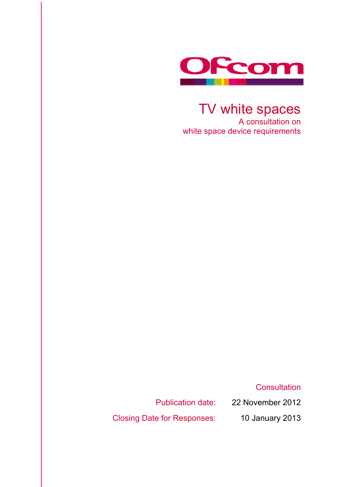

TV white spaces A consultation on white space device requirements

**Consultation** 

Publication date: 22 November 2012

Closing Date for Responses: 10 January 2013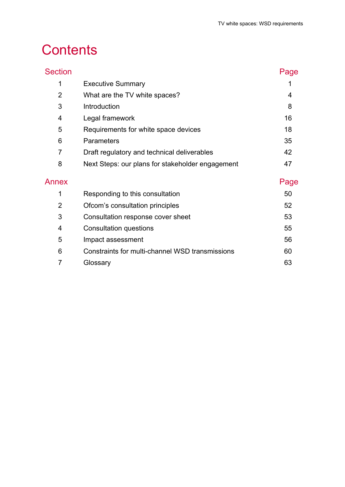# **Contents**

| <b>Section</b> |                                                  | Page |
|----------------|--------------------------------------------------|------|
| 1              | <b>Executive Summary</b>                         |      |
| $\overline{2}$ | What are the TV white spaces?                    | 4    |
| 3              | Introduction                                     | 8    |
| 4              | Legal framework                                  | 16   |
| 5              | Requirements for white space devices             | 18   |
| 6              | <b>Parameters</b>                                | 35   |
| 7              | Draft regulatory and technical deliverables      | 42   |
| 8              | Next Steps: our plans for stakeholder engagement | 47   |
| Annex          |                                                  | Page |
| 1              | Responding to this consultation                  | 50   |
| $\overline{2}$ | Ofcom's consultation principles                  | 52   |
| 3              | Consultation response cover sheet                | 53   |
| 4              | Consultation questions                           | 55   |
| 5              | Impact assessment                                | 56   |
| 6              | Constraints for multi-channel WSD transmissions  | 60   |
| 7              | Glossary                                         | 63   |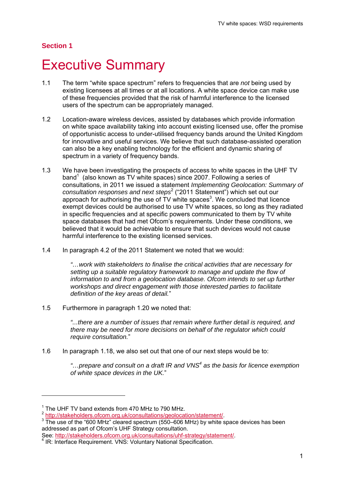#### **Section 1**

## **Executive Summary**

- 1.1 The term "white space spectrum" refers to frequencies that are *not* being used by existing licensees at all times or at all locations. A white space device can make use of these frequencies provided that the risk of harmful interference to the licensed users of the spectrum can be appropriately managed.
- 1.2 Location-aware wireless devices, assisted by databases which provide information on white space availability taking into account existing licensed use, offer the promise of opportunistic access to under-utilised frequency bands around the United Kingdom for innovative and useful services. We believe that such database-assisted operation can also be a key enabling technology for the efficient and dynamic sharing of spectrum in a variety of frequency bands.
- 1.3 We have been investigating the prospects of access to white spaces in the UHF TV band<sup>1</sup> (also known as TV white spaces) since 2007. Following a series of consultations, in 2011 we issued a statement *Implementing Geolocation: Summary of consultation responses and next steps*<sup>2</sup> ("2011 Statement") which set out our approach for authorising the use of TV white spaces<sup>3</sup>. We concluded that licence exempt devices could be authorised to use TV white spaces, so long as they radiated in specific frequencies and at specific powers communicated to them by TV white space databases that had met Ofcom's requirements. Under these conditions, we believed that it would be achievable to ensure that such devices would not cause harmful interference to the existing licensed services.
- 1.4 In paragraph 4.2 of the 2011 Statement we noted that we would:

*"…work with stakeholders to finalise the critical activities that are necessary for setting up a suitable regulatory framework to manage and update the flow of information to and from a geolocation database. Ofcom intends to set up further workshops and direct engagement with those interested parties to facilitate definition of the key areas of detail.*"

1.5 Furthermore in paragraph 1.20 we noted that:

*"...there are a number of issues that remain where further detail is required, and there may be need for more decisions on behalf of the regulator which could require consultation.*"

1.6 In paragraph 1.18, we also set out that one of our next steps would be to:

*"…prepare and consult on a draft IR and VNS<sup>4</sup> as the basis for licence exemption of white space devices in the UK.*"

 $\overline{a}$ 

<sup>&</sup>lt;sup>1</sup> The UHF TV band extends from 470 MHz to 790 MHz.

<sup>&</sup>lt;sup>2</sup> http://stakeholders.ofcom.org.uk/consultations/geolocation/statement/.

<sup>&</sup>lt;sup>3</sup> The use of the "600 MHz" cleared spectrum (550–606 MHz) by white space devices has been addressed as part of Ofcom's UHF Strategy consultation.

See: http://stakeholders.ofcom.org.uk/consultations/uhf-strategy/statement/.

**IR: Interface Requirement. VNS: Voluntary National Specification.**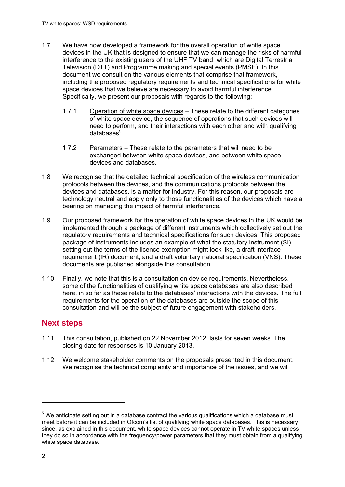- 1.7 We have now developed a framework for the overall operation of white space devices in the UK that is designed to ensure that we can manage the risks of harmful interference to the existing users of the UHF TV band, which are Digital Terrestrial Television (DTT) and Programme making and special events (PMSE). In this document we consult on the various elements that comprise that framework, including the proposed regulatory requirements and technical specifications for white space devices that we believe are necessary to avoid harmful interference . Specifically, we present our proposals with regards to the following:
	- 1.7.1 Operation of white space devices These relate to the different categories of white space device, the sequence of operations that such devices will need to perform, and their interactions with each other and with qualifying databases<sup>5</sup>.
	- 1.7.2 Parameters  $-$  These relate to the parameters that will need to be exchanged between white space devices, and between white space devices and databases.
- 1.8 We recognise that the detailed technical specification of the wireless communication protocols between the devices, and the communications protocols between the devices and databases, is a matter for industry. For this reason, our proposals are technology neutral and apply only to those functionalities of the devices which have a bearing on managing the impact of harmful interference.
- 1.9 Our proposed framework for the operation of white space devices in the UK would be implemented through a package of different instruments which collectively set out the regulatory requirements and technical specifications for such devices. This proposed package of instruments includes an example of what the statutory instrument (SI) setting out the terms of the licence exemption might look like, a draft interface requirement (IR) document, and a draft voluntary national specification (VNS). These documents are published alongside this consultation.
- 1.10 Finally, we note that this is a consultation on device requirements. Nevertheless, some of the functionalities of qualifying white space databases are also described here, in so far as these relate to the databases' interactions with the devices. The full requirements for the operation of the databases are outside the scope of this consultation and will be the subject of future engagement with stakeholders.

## **Next steps**

- 1.11 This consultation, published on 22 November 2012, lasts for seven weeks. The closing date for responses is 10 January 2013.
- 1.12 We welcome stakeholder comments on the proposals presented in this document. We recognise the technical complexity and importance of the issues, and we will

1

 $5$  We anticipate setting out in a database contract the various qualifications which a database must meet before it can be included in Ofcom's list of qualifying white space databases. This is necessary since, as explained in this document, white space devices cannot operate in TV white spaces unless they do so in accordance with the frequency/power parameters that they must obtain from a qualifying white space database.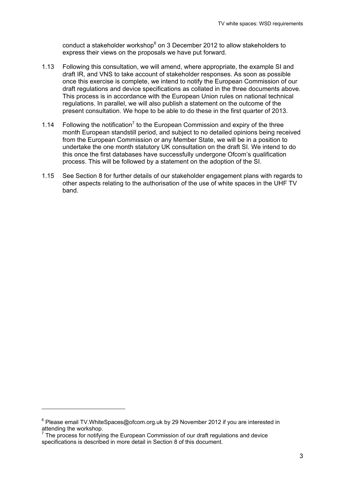conduct a stakeholder workshop<sup>6</sup> on 3 December 2012 to allow stakeholders to express their views on the proposals we have put forward.

- 1.13 Following this consultation, we will amend, where appropriate, the example SI and draft IR, and VNS to take account of stakeholder responses. As soon as possible once this exercise is complete, we intend to notify the European Commission of our draft regulations and device specifications as collated in the three documents above. This process is in accordance with the European Union rules on national technical regulations. In parallel, we will also publish a statement on the outcome of the present consultation. We hope to be able to do these in the first quarter of 2013.
- 1.14 Following the notification<sup>7</sup> to the European Commission and expiry of the three month European standstill period, and subject to no detailed opinions being received from the European Commission or any Member State, we will be in a position to undertake the one month statutory UK consultation on the draft SI. We intend to do this once the first databases have successfully undergone Ofcom's qualification process. This will be followed by a statement on the adoption of the SI.
- 1.15 See Section 8 for further details of our stakeholder engagement plans with regards to other aspects relating to the authorisation of the use of white spaces in the UHF TV band.

-

<sup>&</sup>lt;sup>6</sup> Please email TV.WhiteSpaces@ofcom.org.uk by 29 November 2012 if you are interested in attending the workshop.

 $7$  The process for notifying the European Commission of our draft regulations and device specifications is described in more detail in Section 8 of this document.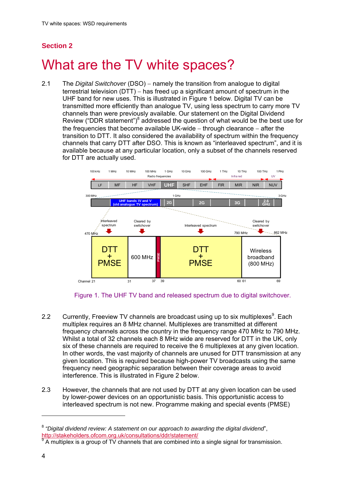## **Section 2**

# What are the TV white spaces?

2.1 The *Digital Switchover* (DSO) namely the transition from analogue to digital terrestrial television (DTT)  $-$  has freed up a significant amount of spectrum in the UHF band for new uses. This is illustrated in Figure 1 below. Digital TV can be transmitted more efficiently than analogue TV, using less spectrum to carry more TV channels than were previously available. Our statement on the Digital Dividend Review ("DDR statement") $<sup>8</sup>$  addressed the question of what would be the best use for</sup> the frequencies that become available UK-wide  $-$  through clearance  $-$  after the transition to DTT. It also considered the availability of spectrum within the frequency channels that carry DTT after DSO. This is known as "interleaved spectrum", and it is available because at any particular location, only a subset of the channels reserved for DTT are actually used.



Figure 1. The UHF TV band and released spectrum due to digital switchover.

- 2.2 Currently, Freeview TV channels are broadcast using up to six multiplexes $9$ . Each multiplex requires an 8 MHz channel. Multiplexes are transmitted at different frequency channels across the country in the frequency range 470 MHz to 790 MHz. Whilst a total of 32 channels each 8 MHz wide are reserved for DTT in the UK, only six of these channels are required to receive the 6 multiplexes at any given location. In other words, the vast majority of channels are unused for DTT transmission at any given location. This is required because high-power TV broadcasts using the same frequency need geographic separation between their coverage areas to avoid interference. This is illustrated in Figure 2 below.
- 2.3 However, the channels that are not used by DTT at any given location can be used by lower-power devices on an opportunistic basis. This opportunistic access to interleaved spectrum is not new. Programme making and special events (PMSE)

 $\overline{a}$ 

<sup>8</sup> *"Digital dividend review: A statement on our approach to awarding the digital dividend*", http://stakeholders.ofcom.org.uk/consultations/ddr/statement/

 $9^9$  A multiplex is a group of TV channels that are combined into a single signal for transmission.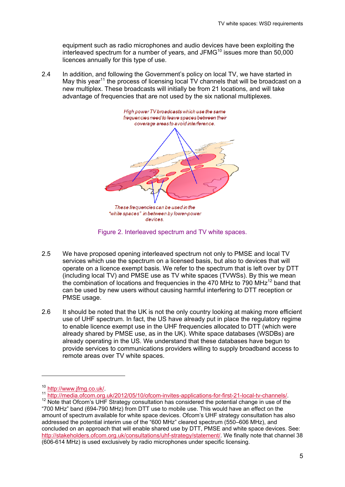equipment such as radio microphones and audio devices have been exploiting the interleaved spectrum for a number of years, and JFM $G<sup>10</sup>$  issues more than 50,000 licences annually for this type of use.

2.4 In addition, and following the Government's policy on local TV, we have started in May this year<sup>11</sup> the process of licensing local TV channels that will be broadcast on a new multiplex. These broadcasts will initially be from 21 locations, and will take advantage of frequencies that are not used by the six national multiplexes.



Figure 2. Interleaved spectrum and TV white spaces.

- 2.5 We have proposed opening interleaved spectrum not only to PMSE and local TV services which use the spectrum on a licensed basis, but also to devices that will operate on a licence exempt basis. We refer to the spectrum that is left over by DTT (including local TV) and PMSE use as TV white spaces (TVWSs). By this we mean the combination of locations and frequencies in the 470 MHz to 790  $MHz<sup>12</sup>$  band that can be used by new users without causing harmful interfering to DTT reception or PMSE usage.
- 2.6 It should be noted that the UK is not the only country looking at making more efficient use of UHF spectrum. In fact, the US have already put in place the regulatory regime to enable licence exempt use in the UHF frequencies allocated to DTT (which were already shared by PMSE use, as in the UK). White space databases (WSDBs) are already operating in the US. We understand that these databases have begun to provide services to communications providers willing to supply broadband access to remote areas over TV white spaces.

 $\overline{a}$ 

<sup>10</sup> http://www.jfmg.co.uk/.<br>
11 http://media.ofcom.org.uk/2012/05/10/ofcom-invites-applications-for-first-21-local-tv-channels/.<br>
12 Note that Ofcom's UHF Strategy consultation has considered the potential change in use of

<sup>&</sup>quot;700 MHz" band (694-790 MHz) from DTT use to mobile use. This would have an effect on the amount of spectrum available for white space devices. Ofcom's UHF strategy consultation has also addressed the potential interim use of the "600 MHz" cleared spectrum (550–606 MHz), and concluded on an approach that will enable shared use by DTT, PMSE and white space devices. See: http://stakeholders.ofcom.org.uk/consultations/uhf-strategy/statement/. We finally note that channel 38 (606-614 MHz) is used exclusively by radio microphones under specific licensing.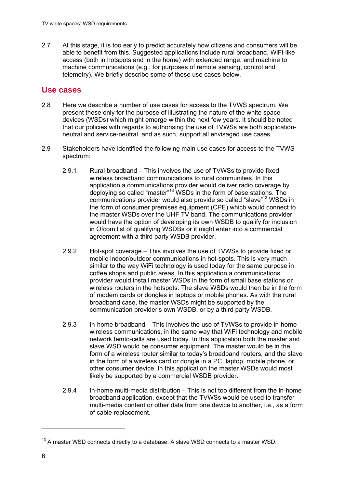2.7 At this stage, it is too early to predict accurately how citizens and consumers will be able to benefit from this. Suggested applications include rural broadband, WiFi-like access (both in hotspots and in the home) with extended range, and machine to machine communications (e.g., for purposes of remote sensing, control and telemetry). We briefly describe some of these use cases below.

## **Use cases**

- 2.8 Here we describe a number of use cases for access to the TVWS spectrum. We present these only for the purpose of illustrating the nature of the white space devices (WSDs) which might emerge within the next few years. It should be noted that our policies with regards to authorising the use of TVWSs are both applicationneutral and service-neutral, and as such, support all envisaged use cases.
- 2.9 Stakeholders have identified the following main use cases for access to the TVWS spectrum:
	- 2.9.1 Rural broadband This involves the use of TVWSs to provide fixed wireless broadband communications to rural communities. In this application a communications provider would deliver radio coverage by deploying so called "master"13 WSDs in the form of base stations. The communications provider would also provide so called "slave"13 WSDs in the form of consumer premises equipment (CPE) which would connect to the master WSDs over the UHF TV band. The communications provider would have the option of developing its own WSDB to qualify for inclusion in Ofcom list of qualifying WSDBs or it might enter into a commercial agreement with a third party WSDB provider.
	- 2.9.2 Hot-spot coverage This involves the use of TVWSs to provide fixed or mobile indoor/outdoor communications in hot-spots. This is very much similar to the way WiFi technology is used today for the same purpose in coffee shops and public areas. In this application a communications provider would install master WSDs in the form of small base stations or wireless routers in the hotspots. The slave WSDs would then be in the form of modem cards or dongles in laptops or mobile phones. As with the rural broadband case, the master WSDs might be supported by the communication provider's own WSDB, or by a third party WSDB.
	- 2.9.3 In-home broadband  $-$  This involves the use of TVWSs to provide in-home wireless communications, in the same way that WiFi technology and mobile network femto-cells are used today. In this application both the master and slave WSD would be consumer equipment. The master would be in the form of a wireless router similar to today's broadband routers, and the slave in the form of a wireless card or dongle in a PC, laptop, mobile phone, or other consumer device. In this application the master WSDs would most likely be supported by a commercial WSDB provider.
	- 2.9.4 In-home multi-media distribution  $-$  This is not too different from the in-home broadband application, except that the TVWSs would be used to transfer multi-media content or other data from one device to another, i.e., as a form of cable replacement.

-

 $13$  A master WSD connects directly to a database. A slave WSD connects to a master WSD.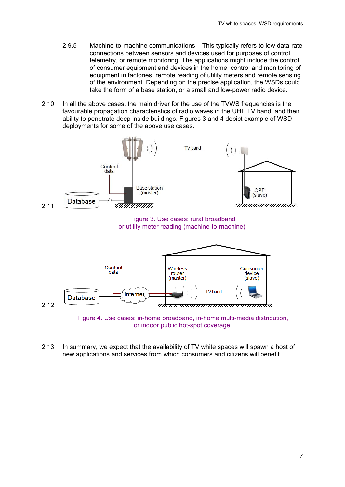- 2.9.5 Machine-to-machine communications This typically refers to low data-rate connections between sensors and devices used for purposes of control, telemetry, or remote monitoring. The applications might include the control of consumer equipment and devices in the home, control and monitoring of equipment in factories, remote reading of utility meters and remote sensing of the environment. Depending on the precise application, the WSDs could take the form of a base station, or a small and low-power radio device.
- 2.10 In all the above cases, the main driver for the use of the TVWS frequencies is the favourable propagation characteristics of radio waves in the UHF TV band, and their ability to penetrate deep inside buildings. Figures 3 and 4 depict example of WSD deployments for some of the above use cases.



or indoor public hot-spot coverage.

2.13 In summary, we expect that the availability of TV white spaces will spawn a host of new applications and services from which consumers and citizens will benefit.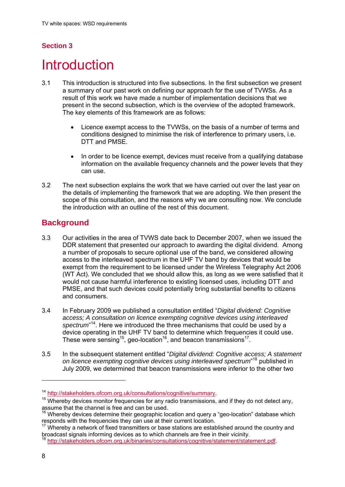## **Section 3**

## **Introduction**

- 3.1 This introduction is structured into five subsections. In the first subsection we present a summary of our past work on defining our approach for the use of TVWSs. As a result of this work we have made a number of implementation decisions that we present in the second subsection, which is the overview of the adopted framework. The key elements of this framework are as follows:
	- Licence exempt access to the TVWSs, on the basis of a number of terms and conditions designed to minimise the risk of interference to primary users, i.e. DTT and PMSE.
	- In order to be licence exempt, devices must receive from a qualifying database information on the available frequency channels and the power levels that they can use.
- 3.2 The next subsection explains the work that we have carried out over the last year on the details of implementing the framework that we are adopting. We then present the scope of this consultation, and the reasons why we are consulting now. We conclude the introduction with an outline of the rest of this document.

## **Background**

- 3.3 Our activities in the area of TVWS date back to December 2007, when we issued the DDR statement that presented our approach to awarding the digital dividend. Among a number of proposals to secure optional use of the band, we considered allowing access to the interleaved spectrum in the UHF TV band by devices that would be exempt from the requirement to be licensed under the Wireless Telegraphy Act 2006 (WT Act). We concluded that we should allow this, as long as we were satisfied that it would not cause harmful interference to existing licensed uses, including DTT and PMSE, and that such devices could potentially bring substantial benefits to citizens and consumers.
- 3.4 In February 2009 we published a consultation entitled "*Digital dividend: Cognitive access; A consultation on licence exempting cognitive devices using interleaved*  spectrum<sup>"14</sup>. Here we introduced the three mechanisms that could be used by a device operating in the UHF TV band to determine which frequencies it could use. These were sensing<sup>15</sup>, geo-location<sup>16</sup>, and beacon transmissions<sup>17</sup>.
- 3.5 In the subsequent statement entitled "*Digital dividend: Cognitive access; A statement on licence exempting cognitive devices using interleaved spectrum*" 18 published in July 2009, we determined that beacon transmissions were inferior to the other two

1

<sup>&</sup>lt;sup>14</sup> http://stakeholders.ofcom.org.uk/consultations/cognitive/summary.<br><sup>15</sup> Whereby devices monitor frequencies for any radio transmissions, and if they do not detect any, assume that the channel is free and can be used.

 $16$  Whereby devices determine their geographic location and query a "geo-location" database which responds with the frequencies they can use at their current location.

 $17$  Whereby a network of fixed transmitters or base stations are established around the country and broadcast signals informing devices as to which channels are free in their vicinity.

<sup>18</sup> http://stakeholders.ofcom.org.uk/binaries/consultations/cognitive/statement/statement.pdf.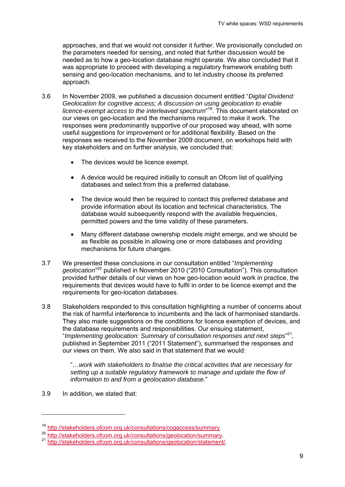approaches, and that we would not consider it further. We provisionally concluded on the parameters needed for sensing, and noted that further discussion would be needed as to how a geo-location database might operate. We also concluded that it was appropriate to proceed with developing a regulatory framework enabling both sensing and geo-location mechanisms, and to let industry choose its preferred approach.

- 3.6 In November 2009, we published a discussion document entitled "*Digital Dividend: Geolocation for cognitive access; A discussion on using geolocation to enable licence-exempt access to the interleaved spectrum*" 19. This document elaborated on our views on geo-location and the mechanisms required to make it work. The responses were predominantly supportive of our proposed way ahead, with some useful suggestions for improvement or for additional flexibility. Based on the responses we received to the November 2009 document, on workshops held with key stakeholders and on further analysis, we concluded that:
	- The devices would be licence exempt.
	- A device would be required initially to consult an Ofcom list of qualifying databases and select from this a preferred database.
	- The device would then be required to contact this preferred database and provide information about its location and technical characteristics. The database would subsequently respond with the available frequencies, permitted powers and the time validity of these parameters.
	- Many different database ownership models might emerge, and we should be as flexible as possible in allowing one or more databases and providing mechanisms for future changes.
- 3.7 We presented these conclusions in our consultation entitled "*Implementing geolocation*" 20 published in November 2010 ("2010 Consultation"). This consultation provided further details of our views on how geo-location would work in practice, the requirements that devices would have to fulfil in order to be licence exempt and the requirements for geo-location databases.
- 3.8 Stakeholders responded to this consultation highlighting a number of concerns about the risk of harmful interference to incumbents and the lack of harmonised standards. They also made suggestions on the conditions for licence exemption of devices, and the database requirements and responsibilities. Our ensuing statement, "*Implementing geolocation: Summary of consultation responses and next steps*" 21, published in September 2011 ("2011 Statement"), summarised the responses and our views on them. We also said in that statement that we would:

"*…work with stakeholders to finalise the critical activities that are necessary for setting up a suitable regulatory framework to manage and update the flow of information to and from a geolocation database.*"

3.9 In addition, we stated that:

1

<sup>&</sup>lt;sup>19</sup> http://stakeholders.ofcom.org.uk/consultations/cogaccess/summary.<br><sup>20</sup> http://stakeholders.ofcom.org.uk/consultations/geolocation/statement/.<br><sup>21</sup> http://stakeholders.ofcom.org.uk/consultations/geolocation/statement/.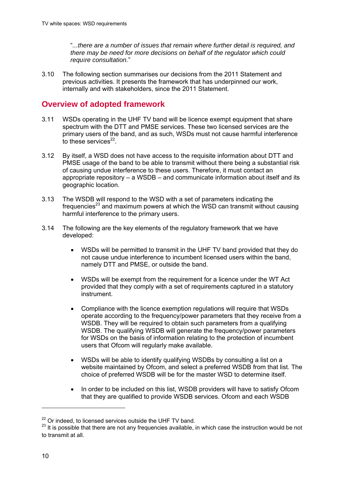"*...there are a number of issues that remain where further detail is required, and there may be need for more decisions on behalf of the regulator which could require consultation.*"

3.10 The following section summarises our decisions from the 2011 Statement and previous activities. It presents the framework that has underpinned our work, internally and with stakeholders, since the 2011 Statement.

## **Overview of adopted framework**

- 3.11 WSDs operating in the UHF TV band will be licence exempt equipment that share spectrum with the DTT and PMSE services. These two licensed services are the primary users of the band, and as such, WSDs must not cause harmful interference to these services $^{22}$ .
- 3.12 By itself, a WSD does not have access to the requisite information about DTT and PMSE usage of the band to be able to transmit without there being a substantial risk of causing undue interference to these users. Therefore, it must contact an appropriate repository – a WSDB – and communicate information about itself and its geographic location.
- 3.13 The WSDB will respond to the WSD with a set of parameters indicating the frequencies $^{23}$  and maximum powers at which the WSD can transmit without causing harmful interference to the primary users.
- 3.14 The following are the key elements of the regulatory framework that we have developed:
	- WSDs will be permitted to transmit in the UHF TV band provided that they do not cause undue interference to incumbent licensed users within the band, namely DTT and PMSE, or outside the band.
	- WSDs will be exempt from the requirement for a licence under the WT Act provided that they comply with a set of requirements captured in a statutory instrument.
	- Compliance with the licence exemption regulations will require that WSDs operate according to the frequency/power parameters that they receive from a WSDB. They will be required to obtain such parameters from a qualifying WSDB. The qualifying WSDB will generate the frequency/power parameters for WSDs on the basis of information relating to the protection of incumbent users that Ofcom will regularly make available.
	- WSDs will be able to identify qualifying WSDBs by consulting a list on a website maintained by Ofcom, and select a preferred WSDB from that list. The choice of preferred WSDB will be for the master WSD to determine itself.
	- In order to be included on this list, WSDB providers will have to satisfy Ofcom that they are qualified to provide WSDB services. Ofcom and each WSDB

 $\overline{a}$ 

<sup>&</sup>lt;sup>22</sup> Or indeed, to licensed services outside the UHF TV band.

<sup>&</sup>lt;sup>23</sup> It is possible that there are not any frequencies available, in which case the instruction would be not to transmit at all.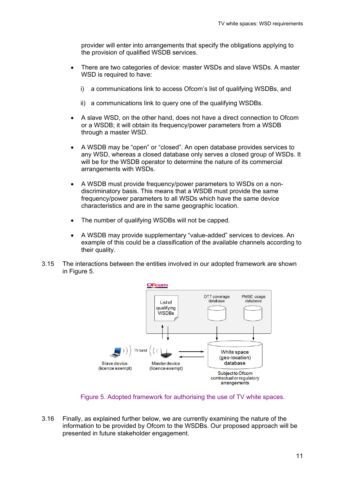provider will enter into arrangements that specify the obligations applying to the provision of qualified WSDB services.

- There are two categories of device: master WSDs and slave WSDs. A master WSD is required to have:
	- i) a communications link to access Ofcom's list of qualifying WSDBs, and
	- ii) a communications link to query one of the qualifying WSDBs.
- A slave WSD, on the other hand, does not have a direct connection to Ofcom or a WSDB; it will obtain its frequency/power parameters from a WSDB through a master WSD.
- A WSDB may be "open" or "closed". An open database provides services to any WSD, whereas a closed database only serves a closed group of WSDs. It will be for the WSDB operator to determine the nature of its commercial arrangements with WSDs.
- A WSDB must provide frequency/power parameters to WSDs on a nondiscriminatory basis. This means that a WSDB must provide the same frequency/power parameters to all WSDs which have the same device characteristics and are in the same geographic location.
- The number of qualifying WSDBs will not be capped.
- A WSDB may provide supplementary "value-added" services to devices. An example of this could be a classification of the available channels according to their quality.
- 3.15 The interactions between the entities involved in our adopted framework are shown in Figure 5.



Figure 5. Adopted framework for authorising the use of TV white spaces.

3.16 Finally, as explained further below, we are currently examining the nature of the information to be provided by Ofcom to the WSDBs. Our proposed approach will be presented in future stakeholder engagement.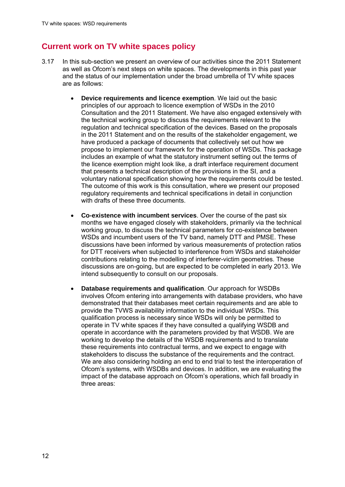## **Current work on TV white spaces policy**

- 3.17 In this sub-section we present an overview of our activities since the 2011 Statement as well as Ofcom's next steps on white spaces. The developments in this past year and the status of our implementation under the broad umbrella of TV white spaces are as follows:
	- **Device requirements and licence exemption**. We laid out the basic principles of our approach to licence exemption of WSDs in the 2010 Consultation and the 2011 Statement. We have also engaged extensively with the technical working group to discuss the requirements relevant to the regulation and technical specification of the devices. Based on the proposals in the 2011 Statement and on the results of the stakeholder engagement, we have produced a package of documents that collectively set out how we propose to implement our framework for the operation of WSDs. This package includes an example of what the statutory instrument setting out the terms of the licence exemption might look like, a draft interface requirement document that presents a technical description of the provisions in the SI, and a voluntary national specification showing how the requirements could be tested. The outcome of this work is this consultation, where we present our proposed regulatory requirements and technical specifications in detail in conjunction with drafts of these three documents.
	- **Co-existence with incumbent services**. Over the course of the past six months we have engaged closely with stakeholders, primarily via the technical working group, to discuss the technical parameters for co-existence between WSDs and incumbent users of the TV band, namely DTT and PMSE. These discussions have been informed by various measurements of protection ratios for DTT receivers when subjected to interference from WSDs and stakeholder contributions relating to the modelling of interferer-victim geometries. These discussions are on-going, but are expected to be completed in early 2013. We intend subsequently to consult on our proposals.
	- **Database requirements and qualification**. Our approach for WSDBs involves Ofcom entering into arrangements with database providers, who have demonstrated that their databases meet certain requirements and are able to provide the TVWS availability information to the individual WSDs. This qualification process is necessary since WSDs will only be permitted to operate in TV white spaces if they have consulted a qualifying WSDB and operate in accordance with the parameters provided by that WSDB. We are working to develop the details of the WSDB requirements and to translate these requirements into contractual terms, and we expect to engage with stakeholders to discuss the substance of the requirements and the contract. We are also considering holding an end to end trial to test the interoperation of Ofcom's systems, with WSDBs and devices. In addition, we are evaluating the impact of the database approach on Ofcom's operations, which fall broadly in three areas: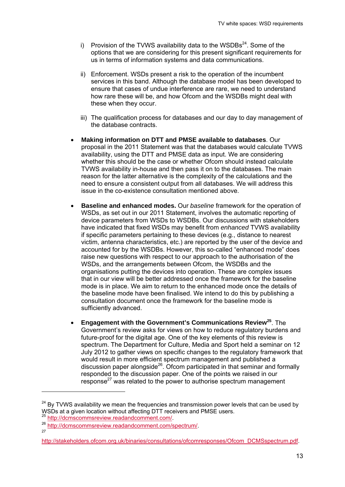- i) Provision of the TVWS availability data to the  $WSDBs<sup>24</sup>$ . Some of the options that we are considering for this present significant requirements for us in terms of information systems and data communications.
- ii) Enforcement. WSDs present a risk to the operation of the incumbent services in this band. Although the database model has been developed to ensure that cases of undue interference are rare, we need to understand how rare these will be, and how Ofcom and the WSDBs might deal with these when they occur.
- iii) The qualification process for databases and our day to day management of the database contracts.
- **Making information on DTT and PMSE available to databases**. Our proposal in the 2011 Statement was that the databases would calculate TVWS availability, using the DTT and PMSE data as input. We are considering whether this should be the case or whether Ofcom should instead calculate TVWS availability in-house and then pass it on to the databases. The main reason for the latter alternative is the complexity of the calculations and the need to ensure a consistent output from all databases. We will address this issue in the co-existence consultation mentioned above.
- **Baseline and enhanced modes.** Our *baseline* framework for the operation of WSDs, as set out in our 2011 Statement, involves the automatic reporting of device parameters from WSDs to WSDBs. Our discussions with stakeholders have indicated that fixed WSDs may benefit from *enhanced* TVWS availability if specific parameters pertaining to these devices (e.g., distance to nearest victim, antenna characteristics, etc.) are reported by the user of the device and accounted for by the WSDBs. However, this so-called "enhanced mode" does raise new questions with respect to our approach to the authorisation of the WSDs, and the arrangements between Ofcom, the WSDBs and the organisations putting the devices into operation. These are complex issues that in our view will be better addressed once the framework for the baseline mode is in place. We aim to return to the enhanced mode once the details of the baseline mode have been finalised. We intend to do this by publishing a consultation document once the framework for the baseline mode is sufficiently advanced.
- **Engagement with the Government's Communications Review<sup>25</sup>**. The Government's review asks for views on how to reduce regulatory burdens and future-proof for the digital age. One of the key elements of this review is spectrum. The Department for Culture, Media and Sport held a seminar on 12 July 2012 to gather views on specific changes to the regulatory framework that would result in more efficient spectrum management and published a discussion paper alongside<sup>26</sup>. Ofcom participated in that seminar and formally responded to the discussion paper. One of the points we raised in our response<sup>27</sup> was related to the power to authorise spectrum management

1

 $24$  By TVWS availability we mean the frequencies and transmission power levels that can be used by WSDs at a given location without affecting DTT receivers and PMSE users.

wolds at a given location without affecting DTS bttp://dcmscommsreview.readandcomment.com/.<br>
<sup>26</sup> http://dcmscommsreview.readandcomment.com/spectrum/.

http://stakeholders.ofcom.org.uk/binaries/consultations/ofcomresponses/Ofcom\_DCMSspectrum.pdf.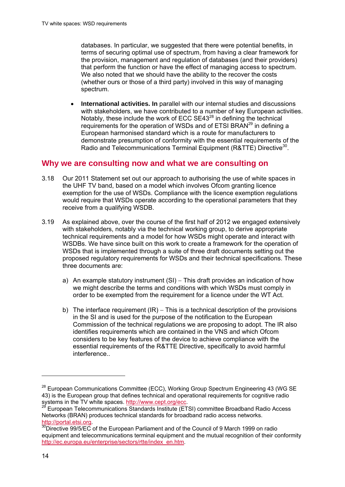databases. In particular, we suggested that there were potential benefits, in terms of securing optimal use of spectrum, from having a clear framework for the provision, management and regulation of databases (and their providers) that perform the function or have the effect of managing access to spectrum. We also noted that we should have the ability to the recover the costs (whether ours or those of a third party) involved in this way of managing spectrum.

 **International activities. In** parallel with our internal studies and discussions with stakeholders, we have contributed to a number of key European activities. Notably, these include the work of ECC  $SE43^{28}$  in defining the technical requirements for the operation of WSDs and of ETSI BRAN<sup>29</sup> in defining a European harmonised standard which is a route for manufacturers to demonstrate presumption of conformity with the essential requirements of the Radio and Telecommunications Terminal Equipment (R&TTE) Directive<sup>30</sup>.

#### **Why we are consulting now and what we are consulting on**

- 3.18 Our 2011 Statement set out our approach to authorising the use of white spaces in the UHF TV band, based on a model which involves Ofcom granting licence exemption for the use of WSDs. Compliance with the licence exemption regulations would require that WSDs operate according to the operational parameters that they receive from a qualifying WSDB.
- 3.19 As explained above, over the course of the first half of 2012 we engaged extensively with stakeholders, notably via the technical working group, to derive appropriate technical requirements and a model for how WSDs might operate and interact with WSDBs. We have since built on this work to create a framework for the operation of WSDs that is implemented through a suite of three draft documents setting out the proposed regulatory requirements for WSDs and their technical specifications. These three documents are:
	- a) An example statutory instrument  $(SI)$  This draft provides an indication of how we might describe the terms and conditions with which WSDs must comply in order to be exempted from the requirement for a licence under the WT Act.
	- b) The interface requirement  $I(R)$  This is a technical description of the provisions in the SI and is used for the purpose of the notification to the European Commission of the technical regulations we are proposing to adopt. The IR also identifies requirements which are contained in the VNS and which Ofcom considers to be key features of the device to achieve compliance with the essential requirements of the R&TTE Directive, specifically to avoid harmful interference..

 $\overline{a}$ 

<sup>&</sup>lt;sup>28</sup> European Communications Committee (ECC), Working Group Spectrum Engineering 43 (WG SE 43) is the European group that defines technical and operational requirements for cognitive radio<br>systems in the TV white spaces. http://www.cept.org/ecc.

European Telecommunications Standards Institute (ETSI) committee Broadband Radio Access Networks (BRAN) produces technical standards for broadband radio access networks.

http://portal.etsi.org.<br><sup>30</sup>Directive 99/5/EC of the European Parliament and of the Council of 9 March 1999 on radio equipment and telecommunications terminal equipment and the mutual recognition of their conformity http://ec.europa.eu/enterprise/sectors/rtte/index\_en.htm.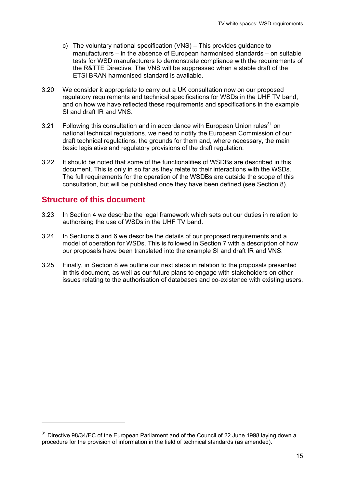- c) The voluntary national specification  $(VNS)$  This provides guidance to manufacturers  $-$  in the absence of European harmonised standards  $-$  on suitable tests for WSD manufacturers to demonstrate compliance with the requirements of the R&TTE Directive. The VNS will be suppressed when a stable draft of the ETSI BRAN harmonised standard is available.
- 3.20 We consider it appropriate to carry out a UK consultation now on our proposed regulatory requirements and technical specifications for WSDs in the UHF TV band, and on how we have reflected these requirements and specifications in the example SI and draft IR and VNS.
- 3.21 Following this consultation and in accordance with European Union rules<sup>31</sup> on national technical regulations, we need to notify the European Commission of our draft technical regulations, the grounds for them and, where necessary, the main basic legislative and regulatory provisions of the draft regulation.
- 3.22 It should be noted that some of the functionalities of WSDBs are described in this document. This is only in so far as they relate to their interactions with the WSDs. The full requirements for the operation of the WSDBs are outside the scope of this consultation, but will be published once they have been defined (see Section 8).

## **Structure of this document**

1

- 3.23 In Section 4 we describe the legal framework which sets out our duties in relation to authorising the use of WSDs in the UHF TV band.
- 3.24 In Sections 5 and 6 we describe the details of our proposed requirements and a model of operation for WSDs. This is followed in Section 7 with a description of how our proposals have been translated into the example SI and draft IR and VNS.
- 3.25 Finally, in Section 8 we outline our next steps in relation to the proposals presented in this document, as well as our future plans to engage with stakeholders on other issues relating to the authorisation of databases and co-existence with existing users.

 $31$  Directive 98/34/EC of the European Parliament and of the Council of 22 June 1998 laying down a procedure for the provision of information in the field of technical standards (as amended).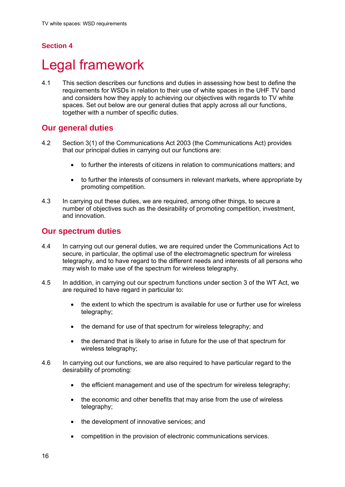## **Section 4**

## **Legal framework**

4.1 This section describes our functions and duties in assessing how best to define the requirements for WSDs in relation to their use of white spaces in the UHF TV band and considers how they apply to achieving our objectives with regards to TV white spaces. Set out below are our general duties that apply across all our functions, together with a number of specific duties.

## **Our general duties**

- 4.2 Section 3(1) of the Communications Act 2003 (the Communications Act) provides that our principal duties in carrying out our functions are:
	- to further the interests of citizens in relation to communications matters; and
	- to further the interests of consumers in relevant markets, where appropriate by promoting competition.
- 4.3 In carrying out these duties, we are required, among other things, to secure a number of objectives such as the desirability of promoting competition, investment, and innovation.

#### **Our spectrum duties**

- 4.4 In carrying out our general duties, we are required under the Communications Act to secure, in particular, the optimal use of the electromagnetic spectrum for wireless telegraphy, and to have regard to the different needs and interests of all persons who may wish to make use of the spectrum for wireless telegraphy.
- 4.5 In addition, in carrying out our spectrum functions under section 3 of the WT Act, we are required to have regard in particular to:
	- the extent to which the spectrum is available for use or further use for wireless telegraphy;
	- the demand for use of that spectrum for wireless telegraphy; and
	- the demand that is likely to arise in future for the use of that spectrum for wireless telegraphy;
- 4.6 In carrying out our functions, we are also required to have particular regard to the desirability of promoting:
	- the efficient management and use of the spectrum for wireless telegraphy;
	- the economic and other benefits that may arise from the use of wireless telegraphy;
	- the development of innovative services; and
	- competition in the provision of electronic communications services.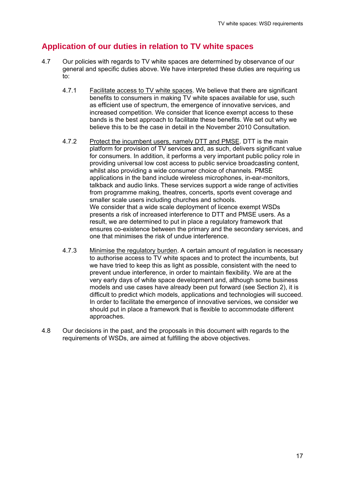## **Application of our duties in relation to TV white spaces**

- 4.7 Our policies with regards to TV white spaces are determined by observance of our general and specific duties above. We have interpreted these duties are requiring us to:
	- 4.7.1 Facilitate access to TV white spaces. We believe that there are significant benefits to consumers in making TV white spaces available for use, such as efficient use of spectrum, the emergence of innovative services, and increased competition. We consider that licence exempt access to these bands is the best approach to facilitate these benefits. We set out why we believe this to be the case in detail in the November 2010 Consultation.
	- 4.7.2 Protect the incumbent users, namely DTT and PMSE. DTT is the main platform for provision of TV services and, as such, delivers significant value for consumers. In addition, it performs a very important public policy role in providing universal low cost access to public service broadcasting content, whilst also providing a wide consumer choice of channels. PMSE applications in the band include wireless microphones, in-ear-monitors, talkback and audio links. These services support a wide range of activities from programme making, theatres, concerts, sports event coverage and smaller scale users including churches and schools. We consider that a wide scale deployment of licence exempt WSDs presents a risk of increased interference to DTT and PMSE users. As a result, we are determined to put in place a regulatory framework that ensures co-existence between the primary and the secondary services, and one that minimises the risk of undue interference.
	- 4.7.3 Minimise the regulatory burden. A certain amount of regulation is necessary to authorise access to TV white spaces and to protect the incumbents, but we have tried to keep this as light as possible, consistent with the need to prevent undue interference, in order to maintain flexibility. We are at the very early days of white space development and, although some business models and use cases have already been put forward (see Section 2), it is difficult to predict which models, applications and technologies will succeed. In order to facilitate the emergence of innovative services, we consider we should put in place a framework that is flexible to accommodate different approaches.
- 4.8 Our decisions in the past, and the proposals in this document with regards to the requirements of WSDs, are aimed at fulfilling the above objectives.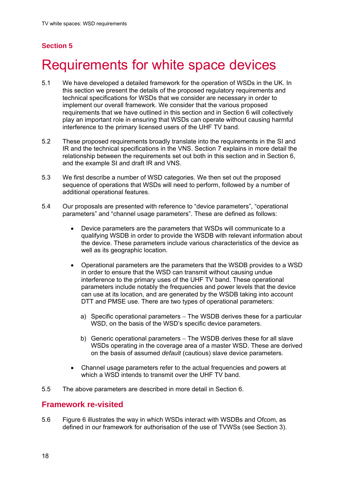## **Section 5**

# 5 Requirements for white space devices

- 5.1 We have developed a detailed framework for the operation of WSDs in the UK. In this section we present the details of the proposed regulatory requirements and technical specifications for WSDs that we consider are necessary in order to implement our overall framework. We consider that the various proposed requirements that we have outlined in this section and in Section 6 will collectively play an important role in ensuring that WSDs can operate without causing harmful interference to the primary licensed users of the UHF TV band.
- 5.2 These proposed requirements broadly translate into the requirements in the SI and IR and the technical specifications in the VNS. Section 7 explains in more detail the relationship between the requirements set out both in this section and in Section 6, and the example SI and draft IR and VNS.
- 5.3 We first describe a number of WSD categories. We then set out the proposed sequence of operations that WSDs will need to perform, followed by a number of additional operational features.
- 5.4 Our proposals are presented with reference to "device parameters", "operational parameters" and "channel usage parameters". These are defined as follows:
	- Device parameters are the parameters that WSDs will communicate to a qualifying WSDB in order to provide the WSDB with relevant information about the device. These parameters include various characteristics of the device as well as its geographic location.
	- Operational parameters are the parameters that the WSDB provides to a WSD in order to ensure that the WSD can transmit without causing undue interference to the primary uses of the UHF TV band. These operational parameters include notably the frequencies and power levels that the device can use at its location, and are generated by the WSDB taking into account DTT and PMSE use. There are two types of operational parameters:
		- a) Specific operational parameters The WSDB derives these for a particular WSD, on the basis of the WSD's specific device parameters.
		- b) Generic operational parameters The WSDB derives these for all slave WSDs operating in the coverage area of a master WSD. These are derived on the basis of assumed *default* (cautious) slave device parameters.
	- Channel usage parameters refer to the actual frequencies and powers at which a WSD intends to transmit over the UHF TV band.
- 5.5 The above parameters are described in more detail in Section 6.

### **Framework re-visited**

5.6 Figure 6 illustrates the way in which WSDs interact with WSDBs and Ofcom, as defined in our framework for authorisation of the use of TVWSs (see Section 3).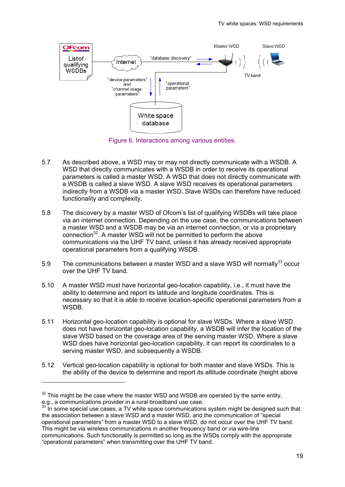

Figure 6. Interactions among various entities.

- 5.7 As described above, a WSD may or may not directly communicate with a WSDB. A WSD that directly communicates with a WSDB in order to receive its operational parameters is called a master WSD. A WSD that does not directly communicate with a WSDB is called a slave WSD. A slave WSD receives its operational parameters indirectly from a WSDB via a master WSD. Slave WSDs can therefore have reduced functionality and complexity.
- 5.8 The discovery by a master WSD of Ofcom's list of qualifying WSDBs will take place via an internet connection. Depending on the use case, the communications between a master WSD and a WSDB may be via an internet connection, or via a proprietary connection $32$ . A master WSD will not be permitted to perform the above communications via the UHF TV band, unless it has already received appropriate operational parameters from a qualifying WSDB.
- 5.9 The communications between a master WSD and a slave WSD will normally  $33$  occur over the UHF TV band.
- 5.10 A master WSD must have horizontal geo-location capability, i.e., it must have the ability to determine and report its latitude and longitude coordinates. This is necessary so that it is able to receive location-specific operational parameters from a WSDB.
- 5.11 Horizontal geo-location capability is optional for slave WSDs. Where a slave WSD does not have horizontal geo-location capability, a WSDB will infer the location of the slave WSD based on the coverage area of the serving master WSD. Where a slave WSD does have horizontal geo-location capability, it can report its coordinates to a serving master WSD, and subsequently a WSDB.
- 5.12 Vertical geo-location capability is optional for both master and slave WSDs. This is the ability of the device to determine and report its altitude coordinate (height above

1

 $32$  This might be the case where the master WSD and WSDB are operated by the same entity, e.g., a communications provider in a rural broadband use case.

 $\frac{3}{3}$  in some special use cases, a TV white space communications system might be designed such that the association between a slave WSD and a master WSD, and the communication of "special operational parameters" from a master WSD to a slave WSD, do not occur over the UHF TV band. This might be via wireless communications in another frequency band or via wire-line communications. Such functionality is permitted so long as the WSDs comply with the appropriate "operational parameters" when transmitting over the UHF TV band.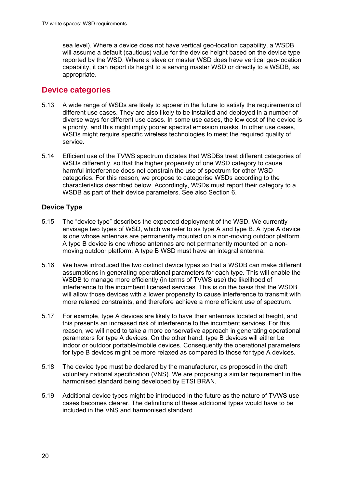sea level). Where a device does not have vertical geo-location capability, a WSDB will assume a default (cautious) value for the device height based on the device type reported by the WSD. Where a slave or master WSD does have vertical geo-location capability, it can report its height to a serving master WSD or directly to a WSDB, as appropriate.

## **Device categories**

- 5.13 A wide range of WSDs are likely to appear in the future to satisfy the requirements of different use cases. They are also likely to be installed and deployed in a number of diverse ways for different use cases. In some use cases, the low cost of the device is a priority, and this might imply poorer spectral emission masks. In other use cases, WSDs might require specific wireless technologies to meet the required quality of service.
- 5.14 Efficient use of the TVWS spectrum dictates that WSDBs treat different categories of WSDs differently, so that the higher propensity of one WSD category to cause harmful interference does not constrain the use of spectrum for other WSD categories. For this reason, we propose to categorise WSDs according to the characteristics described below. Accordingly, WSDs must report their category to a WSDB as part of their device parameters. See also Section 6.

### **Device Type**

- 5.15 The "device type" describes the expected deployment of the WSD. We currently envisage two types of WSD, which we refer to as type A and type B. A type A device is one whose antennas are permanently mounted on a non-moving outdoor platform. A type B device is one whose antennas are not permanently mounted on a nonmoving outdoor platform. A type B WSD must have an integral antenna.
- 5.16 We have introduced the two distinct device types so that a WSDB can make different assumptions in generating operational parameters for each type. This will enable the WSDB to manage more efficiently (in terms of TVWS use) the likelihood of interference to the incumbent licensed services. This is on the basis that the WSDB will allow those devices with a lower propensity to cause interference to transmit with more relaxed constraints, and therefore achieve a more efficient use of spectrum.
- 5.17 For example, type A devices are likely to have their antennas located at height, and this presents an increased risk of interference to the incumbent services. For this reason, we will need to take a more conservative approach in generating operational parameters for type A devices. On the other hand, type B devices will either be indoor or outdoor portable/mobile devices. Consequently the operational parameters for type B devices might be more relaxed as compared to those for type A devices.
- 5.18 The device type must be declared by the manufacturer, as proposed in the draft voluntary national specification (VNS). We are proposing a similar requirement in the harmonised standard being developed by ETSI BRAN.
- 5.19 Additional device types might be introduced in the future as the nature of TVWS use cases becomes clearer. The definitions of these additional types would have to be included in the VNS and harmonised standard.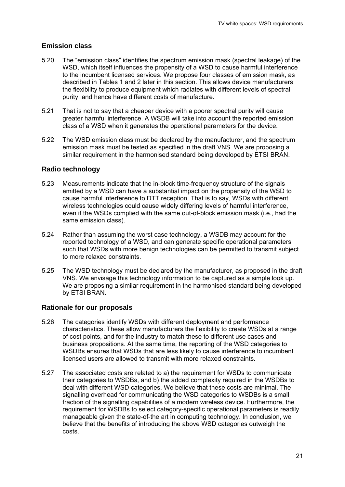#### **Emission class**

- 5.20 The "emission class" identifies the spectrum emission mask (spectral leakage) of the WSD, which itself influences the propensity of a WSD to cause harmful interference to the incumbent licensed services. We propose four classes of emission mask, as described in Tables 1 and 2 later in this section. This allows device manufacturers the flexibility to produce equipment which radiates with different levels of spectral purity, and hence have different costs of manufacture.
- 5.21 That is not to say that a cheaper device with a poorer spectral purity will cause greater harmful interference. A WSDB will take into account the reported emission class of a WSD when it generates the operational parameters for the device.
- 5.22 The WSD emission class must be declared by the manufacturer, and the spectrum emission mask must be tested as specified in the draft VNS. We are proposing a similar requirement in the harmonised standard being developed by ETSI BRAN.

#### **Radio technology**

- 5.23 Measurements indicate that the in-block time-frequency structure of the signals emitted by a WSD can have a substantial impact on the propensity of the WSD to cause harmful interference to DTT reception. That is to say, WSDs with different wireless technologies could cause widely differing levels of harmful interference, even if the WSDs complied with the same out-of-block emission mask (i.e., had the same emission class).
- 5.24 Rather than assuming the worst case technology, a WSDB may account for the reported technology of a WSD, and can generate specific operational parameters such that WSDs with more benign technologies can be permitted to transmit subject to more relaxed constraints.
- 5.25 The WSD technology must be declared by the manufacturer, as proposed in the draft VNS. We envisage this technology information to be captured as a simple look up. We are proposing a similar requirement in the harmonised standard being developed by ETSI BRAN.

#### **Rationale for our proposals**

- 5.26 The categories identify WSDs with different deployment and performance characteristics. These allow manufacturers the flexibility to create WSDs at a range of cost points, and for the industry to match these to different use cases and business propositions. At the same time, the reporting of the WSD categories to WSDBs ensures that WSDs that are less likely to cause interference to incumbent licensed users are allowed to transmit with more relaxed constraints.
- 5.27 The associated costs are related to a) the requirement for WSDs to communicate their categories to WSDBs, and b) the added complexity required in the WSDBs to deal with different WSD categories. We believe that these costs are minimal. The signalling overhead for communicating the WSD categories to WSDBs is a small fraction of the signalling capabilities of a modern wireless device. Furthermore, the requirement for WSDBs to select category-specific operational parameters is readily manageable given the state-of-the art in computing technology. In conclusion, we believe that the benefits of introducing the above WSD categories outweigh the costs.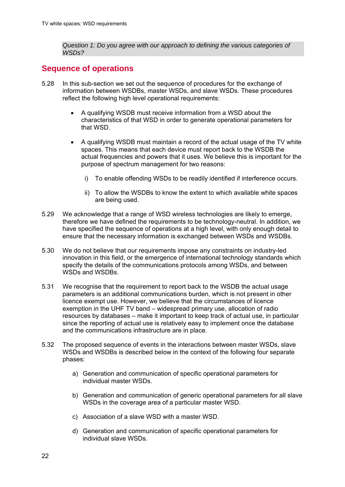*Question 1: Do you agree with our approach to defining the various categories of WSDs?* 

## **Sequence of operations**

- 5.28 In this sub-section we set out the sequence of procedures for the exchange of information between WSDBs, master WSDs, and slave WSDs. These procedures reflect the following high level operational requirements:
	- A qualifying WSDB must receive information from a WSD about the characteristics of that WSD in order to generate operational parameters for that WSD.
	- A qualifying WSDB must maintain a record of the actual usage of the TV white spaces. This means that each device must report back to the WSDB the actual frequencies and powers that it uses. We believe this is important for the purpose of spectrum management for two reasons:
		- i) To enable offending WSDs to be readily identified if interference occurs.
		- ii) To allow the WSDBs to know the extent to which available white spaces are being used.
- 5.29 We acknowledge that a range of WSD wireless technologies are likely to emerge, therefore we have defined the requirements to be technology-neutral. In addition, we have specified the sequence of operations at a high level, with only enough detail to ensure that the necessary information is exchanged between WSDs and WSDBs.
- 5.30 We do not believe that our requirements impose any constraints on industry-led innovation in this field, or the emergence of international technology standards which specify the details of the communications protocols among WSDs, and between WSDs and WSDBs.
- 5.31 We recognise that the requirement to report back to the WSDB the actual usage parameters is an additional communications burden, which is not present in other licence exempt use. However, we believe that the circumstances of licence exemption in the UHF TV band – widespread primary use, allocation of radio resources by databases – make it important to keep track of actual use, in particular since the reporting of actual use is relatively easy to implement once the database and the communications infrastructure are in place.
- 5.32 The proposed sequence of events in the interactions between master WSDs, slave WSDs and WSDBs is described below in the context of the following four separate phases:
	- a) Generation and communication of specific operational parameters for individual master WSDs.
	- b) Generation and communication of generic operational parameters for all slave WSDs in the coverage area of a particular master WSD.
	- c) Association of a slave WSD with a master WSD.
	- d) Generation and communication of specific operational parameters for individual slave WSDs.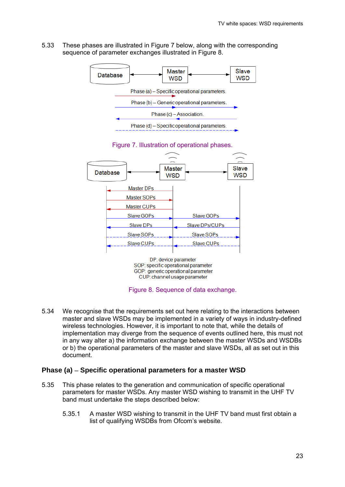5.33 These phases are illustrated in Figure 7 below, along with the corresponding sequence of parameter exchanges illustrated in Figure 8.





Figure 7. Illustration of operational phases.

Figure 8. Sequence of data exchange.

5.34 We recognise that the requirements set out here relating to the interactions between master and slave WSDs may be implemented in a variety of ways in industry-defined wireless technologies. However, it is important to note that, while the details of implementation may diverge from the sequence of events outlined here, this must not in any way alter a) the information exchange between the master WSDs and WSDBs or b) the operational parameters of the master and slave WSDs, all as set out in this document.

#### **Phase (a) Specific operational parameters for a master WSD**

- 5.35 This phase relates to the generation and communication of specific operational parameters for master WSDs. Any master WSD wishing to transmit in the UHF TV band must undertake the steps described below:
	- 5.35.1 A master WSD wishing to transmit in the UHF TV band must first obtain a list of qualifying WSDBs from Ofcom's website.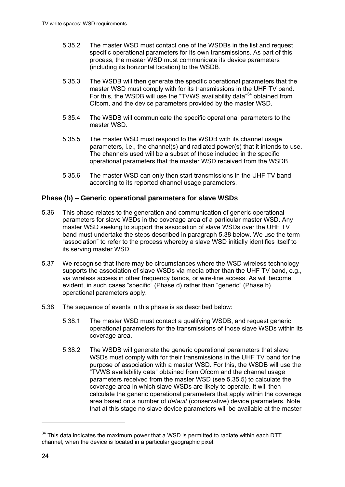- 5.35.2 The master WSD must contact one of the WSDBs in the list and request specific operational parameters for its own transmissions. As part of this process, the master WSD must communicate its device parameters (including its horizontal location) to the WSDB.
- 5.35.3 The WSDB will then generate the specific operational parameters that the master WSD must comply with for its transmissions in the UHF TV band. For this, the WSDB will use the "TVWS availability data"<sup>34</sup> obtained from Ofcom, and the device parameters provided by the master WSD.
- 5.35.4 The WSDB will communicate the specific operational parameters to the master WSD.
- 5.35.5 The master WSD must respond to the WSDB with its channel usage parameters, i.e., the channel(s) and radiated power(s) that it intends to use. The channels used will be a subset of those included in the specific operational parameters that the master WSD received from the WSDB.
- 5.35.6 The master WSD can only then start transmissions in the UHF TV band according to its reported channel usage parameters.

#### **Phase (b) Generic operational parameters for slave WSDs**

- 5.36 This phase relates to the generation and communication of generic operational parameters for slave WSDs in the coverage area of a particular master WSD. Any master WSD seeking to support the association of slave WSDs over the UHF TV band must undertake the steps described in paragraph 5.38 below. We use the term "association" to refer to the process whereby a slave WSD initially identifies itself to its serving master WSD.
- 5.37 We recognise that there may be circumstances where the WSD wireless technology supports the association of slave WSDs via media other than the UHF TV band, e.g., via wireless access in other frequency bands, or wire-line access. As will become evident, in such cases "specific" (Phase d) rather than "generic" (Phase b) operational parameters apply.
- 5.38 The sequence of events in this phase is as described below:
	- 5.38.1 The master WSD must contact a qualifying WSDB, and request generic operational parameters for the transmissions of those slave WSDs within its coverage area.
	- 5.38.2 The WSDB will generate the generic operational parameters that slave WSDs must comply with for their transmissions in the UHF TV band for the purpose of association with a master WSD. For this, the WSDB will use the "TVWS availability data" obtained from Ofcom and the channel usage parameters received from the master WSD (see 5.35.5) to calculate the coverage area in which slave WSDs are likely to operate. It will then calculate the generic operational parameters that apply within the coverage area based on a number of *default* (conservative) device parameters. Note that at this stage no slave device parameters will be available at the master

1

 $34$  This data indicates the maximum power that a WSD is permitted to radiate within each DTT channel, when the device is located in a particular geographic pixel.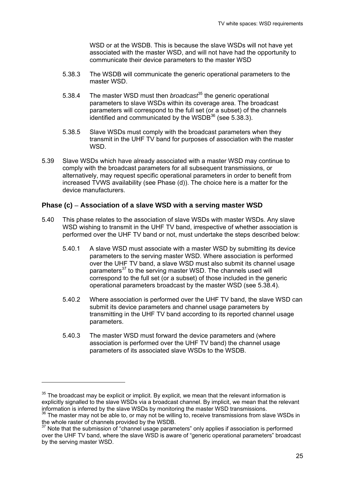WSD or at the WSDB. This is because the slave WSDs will not have yet associated with the master WSD, and will not have had the opportunity to communicate their device parameters to the master WSD

- 5.38.3 The WSDB will communicate the generic operational parameters to the master WSD.
- 5.38.4 The master WSD must then *broadcast*<sup>35</sup> the generic operational parameters to slave WSDs within its coverage area. The broadcast parameters will correspond to the full set (or a subset) of the channels identified and communicated by the WSDB $36$  (see 5.38.3).
- 5.38.5 Slave WSDs must comply with the broadcast parameters when they transmit in the UHF TV band for purposes of association with the master WSD.
- 5.39 Slave WSDs which have already associated with a master WSD may continue to comply with the broadcast parameters for all subsequent transmissions, or alternatively, may request specific operational parameters in order to benefit from increased TVWS availability (see Phase (d)). The choice here is a matter for the device manufacturers.

#### **Phase (c) Association of a slave WSD with a serving master WSD**

- 5.40 This phase relates to the association of slave WSDs with master WSDs. Any slave WSD wishing to transmit in the UHF TV band, irrespective of whether association is performed over the UHF TV band or not, must undertake the steps described below:
	- 5.40.1 A slave WSD must associate with a master WSD by submitting its device parameters to the serving master WSD. Where association is performed over the UHF TV band, a slave WSD must also submit its channel usage parameters<sup>37</sup> to the serving master WSD. The channels used will correspond to the full set (or a subset) of those included in the generic operational parameters broadcast by the master WSD (see 5.38.4).
	- 5.40.2 Where association is performed over the UHF TV band, the slave WSD can submit its device parameters and channel usage parameters by transmitting in the UHF TV band according to its reported channel usage parameters.
	- 5.40.3 The master WSD must forward the device parameters and (where association is performed over the UHF TV band) the channel usage parameters of its associated slave WSDs to the WSDB.

1

 $35$  The broadcast may be explicit or implicit. By explicit, we mean that the relevant information is explicitly signalled to the slave WSDs via a broadcast channel. By implicit, we mean that the relevant information is inferred by the slave WSDs by monitoring the master WSD transmissions.

 $36$  The master may not be able to, or may not be willing to, receive transmissions from slave WSDs in the whole raster of channels provided by the WSDB.

<sup>&</sup>lt;sup>37</sup> Note that the submission of "channel usage parameters" only applies if association is performed over the UHF TV band, where the slave WSD is aware of "generic operational parameters" broadcast by the serving master WSD.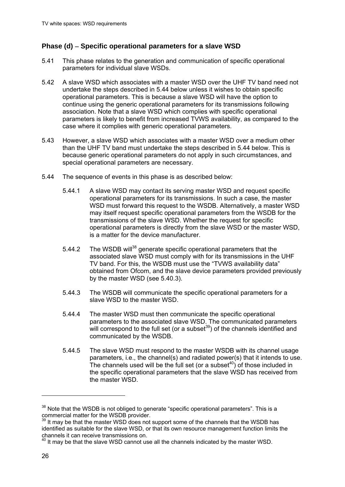#### **Phase (d) Specific operational parameters for a slave WSD**

- 5.41 This phase relates to the generation and communication of specific operational parameters for individual slave WSDs.
- 5.42 A slave WSD which associates with a master WSD over the UHF TV band need not undertake the steps described in 5.44 below unless it wishes to obtain specific operational parameters. This is because a slave WSD will have the option to continue using the generic operational parameters for its transmissions following association. Note that a slave WSD which complies with specific operational parameters is likely to benefit from increased TVWS availability, as compared to the case where it complies with generic operational parameters.
- 5.43 However, a slave WSD which associates with a master WSD over a medium other than the UHF TV band must undertake the steps described in 5.44 below. This is because generic operational parameters do not apply in such circumstances, and special operational parameters are necessary.
- 5.44 The sequence of events in this phase is as described below:
	- 5.44.1 A slave WSD may contact its serving master WSD and request specific operational parameters for its transmissions. In such a case, the master WSD must forward this request to the WSDB. Alternatively, a master WSD may itself request specific operational parameters from the WSDB for the transmissions of the slave WSD. Whether the request for specific operational parameters is directly from the slave WSD or the master WSD, is a matter for the device manufacturer.
	- 5.44.2 The WSDB will<sup>38</sup> generate specific operational parameters that the associated slave WSD must comply with for its transmissions in the UHF TV band. For this, the WSDB must use the "TVWS availability data" obtained from Ofcom, and the slave device parameters provided previously by the master WSD (see 5.40.3).
	- 5.44.3 The WSDB will communicate the specific operational parameters for a slave WSD to the master WSD.
	- 5.44.4 The master WSD must then communicate the specific operational parameters to the associated slave WSD. The communicated parameters will correspond to the full set (or a subset<sup>39</sup>) of the channels identified and communicated by the WSDB.
	- 5.44.5 The slave WSD must respond to the master WSDB with its channel usage parameters, i.e., the channel(s) and radiated power(s) that it intends to use. The channels used will be the full set (or a subset<sup>40</sup>) of those included in the specific operational parameters that the slave WSD has received from the master WSD.

 $\overline{a}$ 

 $38$  Note that the WSDB is not obliged to generate "specific operational parameters". This is a commercial matter for the WSDB provider.

<sup>&</sup>lt;sup>39</sup> It may be that the master WSD does not support some of the channels that the WSDB has identified as suitable for the slave WSD, or that its own resource management function limits the channels it can receive transmissions on.

<sup>40</sup> It may be that the slave WSD cannot use all the channels indicated by the master WSD.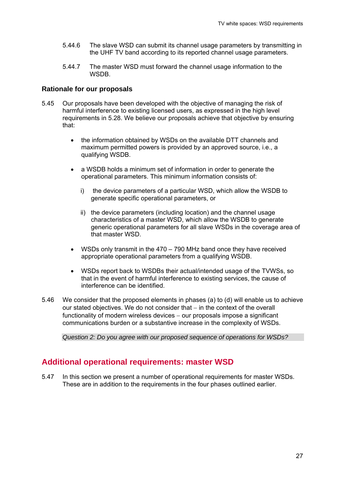- 5.44.6 The slave WSD can submit its channel usage parameters by transmitting in the UHF TV band according to its reported channel usage parameters.
- 5.44.7 The master WSD must forward the channel usage information to the **WSDB.**

#### **Rationale for our proposals**

- 5.45 Our proposals have been developed with the objective of managing the risk of harmful interference to existing licensed users, as expressed in the high level requirements in 5.28. We believe our proposals achieve that objective by ensuring that:
	- the information obtained by WSDs on the available DTT channels and maximum permitted powers is provided by an approved source, i.e., a qualifying WSDB.
	- a WSDB holds a minimum set of information in order to generate the operational parameters. This minimum information consists of:
		- i) the device parameters of a particular WSD, which allow the WSDB to generate specific operational parameters, or
		- ii) the device parameters (including location) and the channel usage characteristics of a master WSD, which allow the WSDB to generate generic operational parameters for all slave WSDs in the coverage area of that master WSD.
	- WSDs only transmit in the 470 790 MHz band once they have received appropriate operational parameters from a qualifying WSDB.
	- WSDs report back to WSDBs their actual/intended usage of the TVWSs, so that in the event of harmful interference to existing services, the cause of interference can be identified.
- 5.46 We consider that the proposed elements in phases (a) to (d) will enable us to achieve our stated objectives. We do not consider that  $-$  in the context of the overall functionality of modern wireless devices  $-$  our proposals impose a significant communications burden or a substantive increase in the complexity of WSDs.

*Question 2: Do you agree with our proposed sequence of operations for WSDs?* 

### **Additional operational requirements: master WSD**

5.47 In this section we present a number of operational requirements for master WSDs. These are in addition to the requirements in the four phases outlined earlier.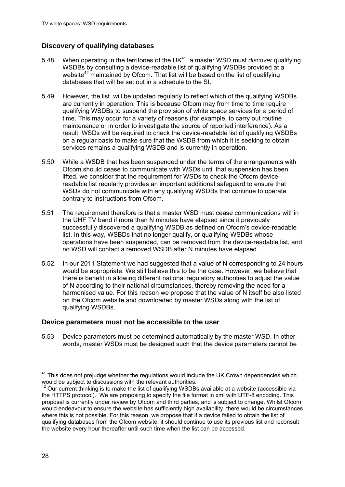### **Discovery of qualifying databases**

- 5.48 When operating in the territories of the UK41, a master WSD must *discover* qualifying WSDBs by consulting a device-readable list of qualifying WSDBs provided at a website<sup>42</sup> maintained by Ofcom. That list will be based on the list of qualifying databases that will be set out in a schedule to the SI.
- 5.49 However, the list will be updated regularly to reflect which of the qualifying WSDBs are currently in operation. This is because Ofcom may from time to time require qualifying WSDBs to suspend the provision of white space services for a period of time. This may occur for a variety of reasons (for example, to carry out routine maintenance or in order to investigate the source of reported interference). As a result, WSDs will be required to check the device-readable list of qualifying WSDBs on a regular basis to make sure that the WSDB from which it is seeking to obtain services remains a qualifying WSDB and is currently in operation.
- 5.50 While a WSDB that has been suspended under the terms of the arrangements with Ofcom should cease to communicate with WSDs until that suspension has been lifted, we consider that the requirement for WSDs to check the Ofcom devicereadable list regularly provides an important additional safeguard to ensure that WSDs do not communicate with any qualifying WSDBs that continue to operate contrary to instructions from Ofcom.
- 5.51 The requirement therefore is that a master WSD must cease communications within the UHF TV band if more than N minutes have elapsed since it previously successfully discovered a qualifying WSDB as defined on Ofcom's device-readable list. In this way, WSBDs that no longer qualify, or qualifying WSDBs whose operations have been suspended, can be removed from the device-readable list, and no WSD will contact a removed WSDB after N minutes have elapsed.
- 5.52 In our 2011 Statement we had suggested that a value of N corresponding to 24 hours would be appropriate. We still believe this to be the case. However, we believe that there is benefit in allowing different national regulatory authorities to adjust the value of N according to their national circumstances, thereby removing the need for a harmonised value. For this reason we propose that the value of N itself be also listed on the Ofcom website and downloaded by master WSDs along with the list of qualifying WSDBs.

#### **Device parameters must not be accessible to the user**

5.53 Device parameters must be determined automatically by the master WSD. In other words, master WSDs must be designed such that the device parameters cannot be

 $\overline{a}$ 

<sup>&</sup>lt;sup>41</sup> This does not prejudge whether the regulations would include the UK Crown dependencies which would be subject to discussions with the relevant authorities.

 $42$  Our current thinking is to make the list of qualifying WSDBs available at a website (accessible via the HTTPS protocol). We are proposing to specify the file format in xml with UTF-8 encoding. This proposal is currently under review by Ofcom and third parties, and is subject to change. Whilst Ofcom would endeavour to ensure the website has sufficiently high availability, there would be circumstances where this is not possible. For this reason, we propose that if a device failed to obtain the list of qualifying databases from the Ofcom website, it should continue to use its previous list and reconsult the website every hour thereafter until such time when the list can be accessed.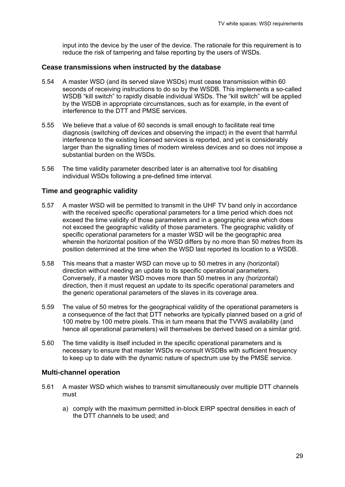input into the device by the user of the device. The rationale for this requirement is to reduce the risk of tampering and false reporting by the users of WSDs.

#### **Cease transmissions when instructed by the database**

- 5.54 A master WSD (and its served slave WSDs) must cease transmission within 60 seconds of receiving instructions to do so by the WSDB. This implements a so-called WSDB "kill switch" to rapidly disable individual WSDs. The "kill switch" will be applied by the WSDB in appropriate circumstances, such as for example, in the event of interference to the DTT and PMSE services.
- 5.55 We believe that a value of 60 seconds is small enough to facilitate real time diagnosis (switching off devices and observing the impact) in the event that harmful interference to the existing licensed services is reported, and yet is considerably larger than the signalling times of modern wireless devices and so does not impose a substantial burden on the WSDs.
- 5.56 The time validity parameter described later is an alternative tool for disabling individual WSDs following a pre-defined time interval.

#### **Time and geographic validity**

- 5.57 A master WSD will be permitted to transmit in the UHF TV band only in accordance with the received specific operational parameters for a time period which does not exceed the time validity of those parameters and in a geographic area which does not exceed the geographic validity of those parameters. The geographic validity of specific operational parameters for a master WSD will be the geographic area wherein the horizontal position of the WSD differs by no more than 50 metres from its position determined at the time when the WSD last reported its location to a WSDB.
- 5.58 This means that a master WSD can move up to 50 metres in any (horizontal) direction without needing an update to its specific operational parameters. Conversely, if a master WSD moves more than 50 metres in any (horizontal) direction, then it must request an update to its specific operational parameters and the generic operational parameters of the slaves in its coverage area.
- 5.59 The value of 50 metres for the geographical validity of the operational parameters is a consequence of the fact that DTT networks are typically planned based on a grid of 100 metre by 100 metre pixels. This in turn means that the TVWS availability (and hence all operational parameters) will themselves be derived based on a similar grid.
- 5.60 The time validity is itself included in the specific operational parameters and is necessary to ensure that master WSDs re-consult WSDBs with sufficient frequency to keep up to date with the dynamic nature of spectrum use by the PMSE service.

#### **Multi-channel operation**

- 5.61 A master WSD which wishes to transmit simultaneously over multiple DTT channels must
	- a) comply with the maximum permitted in-block EIRP spectral densities in each of the DTT channels to be used; and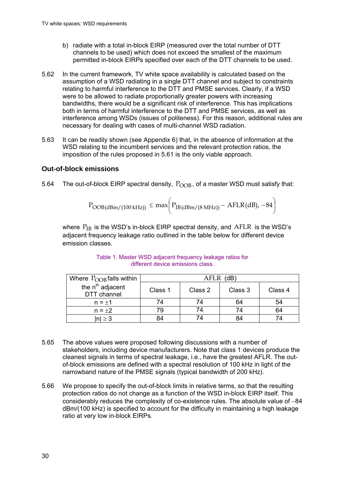- b) radiate with a total in-block EIRP (measured over the total number of DTT channels to be used) which does not exceed the smallest of the maximum permitted in-block EIRPs specified over each of the DTT channels to be used.
- 5.62 In the current framework, TV white space availability is calculated based on the assumption of a WSD radiating in a single DTT channel and subject to constraints relating to harmful interference to the DTT and PMSE services. Clearly, if a WSD were to be allowed to radiate proportionally greater powers with increasing bandwidths, there would be a significant risk of interference. This has implications both in terms of harmful interference to the DTT and PMSE services, as well as interference among WSDs (issues of politeness). For this reason, additional rules are necessary for dealing with cases of multi-channel WSD radiation.
- 5.63 It can be readily shown (see Appendix 6) that, in the absence of information at the WSD relating to the incumbent services and the relevant protection ratios, the imposition of the rules proposed in 5.61 is the only viable approach.

#### **Out-of-block emissions**

5.64 The out-of-block EIRP spectral density,  $P_{\text{OOB}}$ , of a master WSD must satisfy that:

$$
P_{OOB(dBm/(100\text{ kHz}))} \leq max \bigg( P_{IB(dBm/(8\text{ MHz}))} - AFLR(dB), -84 \bigg)
$$

where  $P_{IB}$  is the WSD's in-block EIRP spectral density, and AFLR is the WSD's adjacent frequency leakage ratio outlined in the table below for different device emission classes.

| Where $P_{\text{OOB}}$ falls within         | AFLR<br>(dB) |         |         |         |
|---------------------------------------------|--------------|---------|---------|---------|
| the n <sup>th</sup> adjacent<br>DTT channel | Class 1      | Class 2 | Class 3 | Class 4 |
| $n = \pm 1$                                 | 74           |         | 64      | 54      |
| $n = \pm 2$                                 | 79           |         | 74      | 64      |
| $ n  \geq 3$                                | 84           |         | 84      | 74      |

Table 1. Master WSD adjacent frequency leakage ratios for different device emissions class.

- 5.65 The above values were proposed following discussions with a number of stakeholders, including device manufacturers. Note that class 1 devices produce the cleanest signals in terms of spectral leakage, i.e., have the greatest AFLR. The outof-block emissions are defined with a spectral resolution of 100 kHz in light of the narrowband nature of the PMSE signals (typical bandwidth of 200 kHz).
- 5.66 We propose to specify the out-of-block limits in relative terms, so that the resulting protection ratios do not change as a function of the WSD in-block EIRP itself. This considerably reduces the complexity of co-existence rules. The absolute value of  $-84$ dBm/(100 kHz) is specified to account for the difficulty in maintaining a high leakage ratio at very low in-block EIRPs.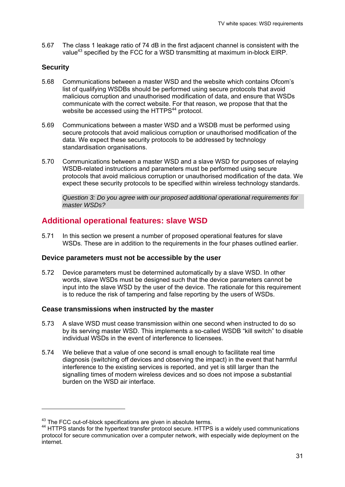5.67 The class 1 leakage ratio of 74 dB in the first adjacent channel is consistent with the value<sup>43</sup> specified by the FCC for a WSD transmitting at maximum in-block EIRP.

#### **Security**

-

- 5.68 Communications between a master WSD and the website which contains Ofcom's list of qualifying WSDBs should be performed using secure protocols that avoid malicious corruption and unauthorised modification of data, and ensure that WSDs communicate with the correct website. For that reason, we propose that that the website be accessed using the HTTPS<sup>44</sup> protocol.
- 5.69 Communications between a master WSD and a WSDB must be performed using secure protocols that avoid malicious corruption or unauthorised modification of the data. We expect these security protocols to be addressed by technology standardisation organisations.
- 5.70 Communications between a master WSD and a slave WSD for purposes of relaying WSDB-related instructions and parameters must be performed using secure protocols that avoid malicious corruption or unauthorised modification of the data. We expect these security protocols to be specified within wireless technology standards.

*Question 3: Do you agree with our proposed additional operational requirements for master WSDs?* 

## **Additional operational features: slave WSD**

5.71 In this section we present a number of proposed operational features for slave WSDs. These are in addition to the requirements in the four phases outlined earlier.

#### **Device parameters must not be accessible by the user**

5.72 Device parameters must be determined automatically by a slave WSD. In other words, slave WSDs must be designed such that the device parameters cannot be input into the slave WSD by the user of the device. The rationale for this requirement is to reduce the risk of tampering and false reporting by the users of WSDs.

#### **Cease transmissions when instructed by the master**

- 5.73 A slave WSD must cease transmission within one second when instructed to do so by its serving master WSD. This implements a so-called WSDB "kill switch" to disable individual WSDs in the event of interference to licensees.
- 5.74 We believe that a value of one second is small enough to facilitate real time diagnosis (switching off devices and observing the impact) in the event that harmful interference to the existing services is reported, and yet is still larger than the signalling times of modern wireless devices and so does not impose a substantial burden on the WSD air interface.

 $43$  The FCC out-of-block specifications are given in absolute terms.<br> $44$  HTTPS stands for the hypertext transfer protocol secure. HTTPS is a widely used communications protocol for secure communication over a computer network, with especially wide deployment on the internet.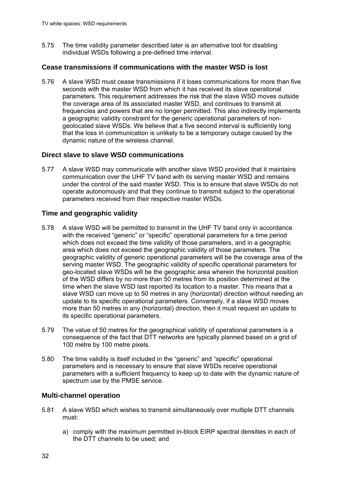5.75 The time validity parameter described later is an alternative tool for disabling individual WSDs following a pre-defined time interval.

#### **Cease transmissions if communications with the master WSD is lost**

5.76 A slave WSD must cease transmissions if it loses communications for more than five seconds with the master WSD from which it has received its slave operational parameters. This requirement addresses the risk that the slave WSD moves outside the coverage area of its associated master WSD, and continues to transmit at frequencies and powers that are no longer permitted. This also indirectly implements a geographic validity constraint for the generic operational parameters of nongeolocated slave WSDs. We believe that a five second interval is sufficiently long that the loss in communication is unlikely to be a temporary outage caused by the dynamic nature of the wireless channel.

#### **Direct slave to slave WSD communications**

5.77 A slave WSD may communicate with another slave WSD provided that it maintains communication over the UHF TV band with its serving master WSD and remains under the control of the said master WSD. This is to ensure that slave WSDs do not operate autonomously and that they continue to transmit subject to the operational parameters received from their respective master WSDs.

#### **Time and geographic validity**

- 5.78 A slave WSD will be permitted to transmit in the UHF TV band only in accordance with the received "generic" or "specific" operational parameters for a time period which does not exceed the time validity of those parameters, and in a geographic area which does not exceed the geographic validity of those parameters. The geographic validity of generic operational parameters will be the coverage area of the serving master WSD. The geographic validity of specific operational parameters for geo-located slave WSDs will be the geographic area wherein the horizontal position of the WSD differs by no more than 50 metres from its position determined at the time when the slave WSD last reported its location to a master. This means that a slave WSD can move up to 50 metres in any (horizontal) direction without needing an update to its specific operational parameters. Conversely, if a slave WSD moves more than 50 metres in any (horizontal) direction, then it must request an update to its specific operational parameters.
- 5.79 The value of 50 metres for the geographical validity of operational parameters is a consequence of the fact that DTT networks are typically planned based on a grid of 100 metre by 100 metre pixels.
- 5.80 The time validity is itself included in the "generic" and "specific" operational parameters and is necessary to ensure that slave WSDs receive operational parameters with a sufficient frequency to keep up to date with the dynamic nature of spectrum use by the PMSE service.

#### **Multi-channel operation**

- 5.81 A slave WSD which wishes to transmit simultaneously over multiple DTT channels must:
	- a) comply with the maximum permitted in-block EIRP spectral densities in each of the DTT channels to be used; and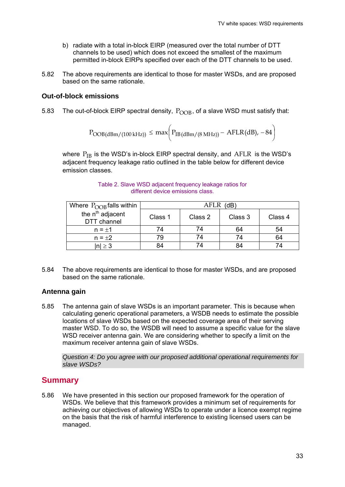- b) radiate with a total in-block EIRP (measured over the total number of DTT channels to be used) which does not exceed the smallest of the maximum permitted in-block EIRPs specified over each of the DTT channels to be used.
- 5.82 The above requirements are identical to those for master WSDs, and are proposed based on the same rationale.

#### **Out-of-block emissions**

5.83 The out-of-block EIRP spectral density,  $P_{\text{OOB}}$ , of a slave WSD must satisfy that:

$$
P_{OOB(dBm/(100\,kHz))} \leq max \bigg( P_{IB(dBm/(8\,MHz))} - AFLR(dB), -84 \bigg)
$$

where  $P_{IB}$  is the WSD's in-block EIRP spectral density, and AFLR is the WSD's adiacent frequency leakage ratio outlined in the table below for different device emission classes.

| Where $P_{\text{OOB}}$ falls within         | (dB)<br>AFLR |         |         |         |
|---------------------------------------------|--------------|---------|---------|---------|
| the n <sup>th</sup> adjacent<br>DTT channel | Class 1      | Class 2 | Class 3 | Class 4 |
| $n = \pm 1$                                 | 74           |         | 64      | 54      |
| $n = \pm 2$                                 | 79           |         | 74      | 64      |
| $ n  \geq 3$                                | 84           |         |         | 74      |

Table 2. Slave WSD adjacent frequency leakage ratios for different device emissions class.

5.84 The above requirements are identical to those for master WSDs, and are proposed based on the same rationale.

#### **Antenna gain**

5.85 The antenna gain of slave WSDs is an important parameter. This is because when calculating generic operational parameters, a WSDB needs to estimate the possible locations of slave WSDs based on the expected coverage area of their serving master WSD. To do so, the WSDB will need to assume a specific value for the slave WSD receiver antenna gain. We are considering whether to specify a limit on the maximum receiver antenna gain of slave WSDs.

*Question 4: Do you agree with our proposed additional operational requirements for slave WSDs?* 

## **Summary**

5.86 We have presented in this section our proposed framework for the operation of WSDs. We believe that this framework provides a minimum set of requirements for achieving our objectives of allowing WSDs to operate under a licence exempt regime on the basis that the risk of harmful interference to existing licensed users can be managed.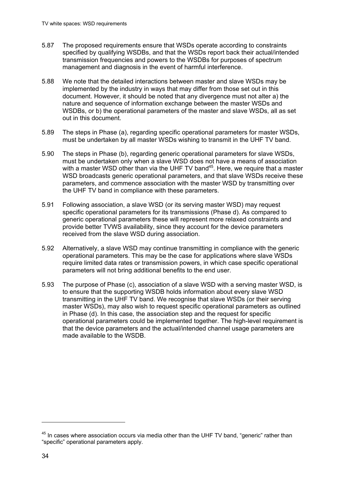- 5.87 The proposed requirements ensure that WSDs operate according to constraints specified by qualifying WSDBs, and that the WSDs report back their actual/intended transmission frequencies and powers to the WSDBs for purposes of spectrum management and diagnosis in the event of harmful interference.
- 5.88 We note that the detailed interactions between master and slave WSDs may be implemented by the industry in ways that may differ from those set out in this document. However, it should be noted that any divergence must not alter a) the nature and sequence of information exchange between the master WSDs and WSDBs, or b) the operational parameters of the master and slave WSDs, all as set out in this document.
- 5.89 The steps in Phase (a), regarding specific operational parameters for master WSDs, must be undertaken by all master WSDs wishing to transmit in the UHF TV band.
- 5.90 The steps in Phase (b), regarding generic operational parameters for slave WSDs, must be undertaken only when a slave WSD does not have a means of association with a master WSD other than via the UHF TV band<sup>45</sup>. Here, we require that a master WSD broadcasts generic operational parameters, and that slave WSDs receive these parameters, and commence association with the master WSD by transmitting over the UHF TV band in compliance with these parameters.
- 5.91 Following association, a slave WSD (or its serving master WSD) may request specific operational parameters for its transmissions (Phase d). As compared to generic operational parameters these will represent more relaxed constraints and provide better TVWS availability, since they account for the device parameters received from the slave WSD during association.
- 5.92 Alternatively, a slave WSD may continue transmitting in compliance with the generic operational parameters. This may be the case for applications where slave WSDs require limited data rates or transmission powers, in which case specific operational parameters will not bring additional benefits to the end user.
- 5.93 The purpose of Phase (c), association of a slave WSD with a serving master WSD, is to ensure that the supporting WSDB holds information about every slave WSD transmitting in the UHF TV band. We recognise that slave WSDs (or their serving master WSDs), may also wish to request specific operational parameters as outlined in Phase (d). In this case, the association step and the request for specific operational parameters could be implemented together. The high-level requirement is that the device parameters and the actual/intended channel usage parameters are made available to the WSDB.

1

 $45$  In cases where association occurs via media other than the UHF TV band, "generic" rather than "specific" operational parameters apply.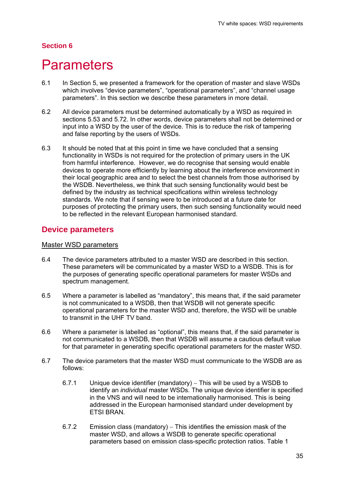### **Section 6**

## **Parameters**

- 6.1 In Section 5, we presented a framework for the operation of master and slave WSDs which involves "device parameters", "operational parameters", and "channel usage parameters". In this section we describe these parameters in more detail.
- 6.2 All device parameters must be determined automatically by a WSD as required in sections 5.53 and 5.72. In other words, device parameters shall not be determined or input into a WSD by the user of the device. This is to reduce the risk of tampering and false reporting by the users of WSDs.
- 6.3 It should be noted that at this point in time we have concluded that a sensing functionality in WSDs is not required for the protection of primary users in the UK from harmful interference. However, we do recognise that sensing would enable devices to operate more efficiently by learning about the interference environment in their local geographic area and to select the best channels from those authorised by the WSDB. Nevertheless, we think that such sensing functionality would best be defined by the industry as technical specifications within wireless technology standards. We note that if sensing were to be introduced at a future date for purposes of protecting the primary users, then such sensing functionality would need to be reflected in the relevant European harmonised standard.

## **Device parameters**

#### Master WSD parameters

- 6.4 The device parameters attributed to a master WSD are described in this section. These parameters will be communicated by a master WSD to a WSDB. This is for the purposes of generating specific operational parameters for master WSDs and spectrum management.
- 6.5 Where a parameter is labelled as "mandatory", this means that, if the said parameter is not communicated to a WSDB, then that WSDB will not generate specific operational parameters for the master WSD and, therefore, the WSD will be unable to transmit in the UHF TV band.
- 6.6 Where a parameter is labelled as "optional", this means that, if the said parameter is not communicated to a WSDB, then that WSDB will assume a cautious default value for that parameter in generating specific operational parameters for the master WSD.
- 6.7 The device parameters that the master WSD must communicate to the WSDB are as follows:
	- 6.7.1 Unique device identifier (mandatory) This will be used by a WSDB to identify an *individual* master WSDs. The unique device identifier is specified in the VNS and will need to be internationally harmonised. This is being addressed in the European harmonised standard under development by ETSI BRAN.
	- 6.7.2 Emission class (mandatory) This identifies the emission mask of the master WSD, and allows a WSDB to generate specific operational parameters based on emission class-specific protection ratios. Table 1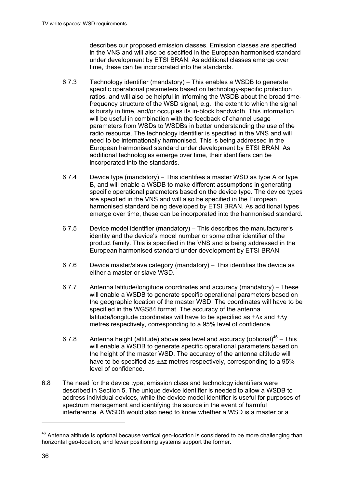describes our proposed emission classes. Emission classes are specified in the VNS and will also be specified in the European harmonised standard under development by ETSI BRAN. As additional classes emerge over time, these can be incorporated into the standards.

- 6.7.3 Technology identifier (mandatory) This enables a WSDB to generate specific operational parameters based on technology-specific protection ratios, and will also be helpful in informing the WSDB about the broad timefrequency structure of the WSD signal, e.g., the extent to which the signal is bursty in time, and/or occupies its in-block bandwidth. This information will be useful in combination with the feedback of channel usage parameters from WSDs to WSDBs in better understanding the use of the radio resource. The technology identifier is specified in the VNS and will need to be internationally harmonised. This is being addressed in the European harmonised standard under development by ETSI BRAN. As additional technologies emerge over time, their identifiers can be incorporated into the standards.
- 6.7.4 Device type (mandatory) This identifies a master WSD as type A or type B, and will enable a WSDB to make different assumptions in generating specific operational parameters based on the device type. The device types are specified in the VNS and will also be specified in the European harmonised standard being developed by ETSI BRAN. As additional types emerge over time, these can be incorporated into the harmonised standard.
- 6.7.5 Device model identifier (mandatory) This describes the manufacturer's identity and the device's model number or some other identifier of the product family. This is specified in the VNS and is being addressed in the European harmonised standard under development by ETSI BRAN.
- 6.7.6 Device master/slave category (mandatory)  $-$  This identifies the device as either a master or slave WSD.
- 6.7.7 Antenna latitude/longitude coordinates and accuracy (mandatory) These will enable a WSDB to generate specific operational parameters based on the geographic location of the master WSD. The coordinates will have to be specified in the WGS84 format. The accuracy of the antenna latitude/longitude coordinates will have to be specified as  $\pm \Delta x$  and  $\pm \Delta y$ metres respectively, corresponding to a 95% level of confidence.
- 6.7.8 Antenna height (altitude) above sea level and accuracy (optional)<sup>46</sup> This will enable a WSDB to generate specific operational parameters based on the height of the master WSD. The accuracy of the antenna altitude will have to be specified as  $\pm \Delta z$  metres respectively, corresponding to a 95% level of confidence.
- 6.8 The need for the device type, emission class and technology identifiers were described in Section 5. The unique device identifier is needed to allow a WSDB to address individual devices, while the device model identifier is useful for purposes of spectrum management and identifying the source in the event of harmful interference. A WSDB would also need to know whether a WSD is a master or a

1

<sup>46</sup> Antenna altitude is optional because vertical geo-location is considered to be more challenging than horizontal geo-location, and fewer positioning systems support the former.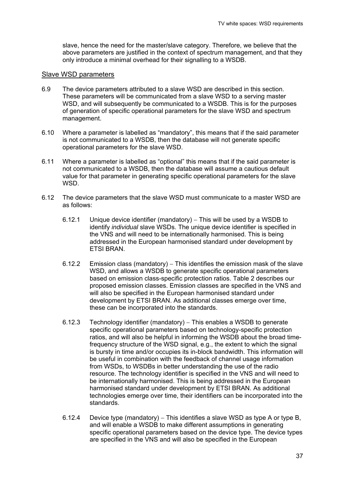slave, hence the need for the master/slave category. Therefore, we believe that the above parameters are justified in the context of spectrum management, and that they only introduce a minimal overhead for their signalling to a WSDB.

#### Slave WSD parameters

- 6.9 The device parameters attributed to a slave WSD are described in this section. These parameters will be communicated from a slave WSD to a serving master WSD, and will subsequently be communicated to a WSDB. This is for the purposes of generation of specific operational parameters for the slave WSD and spectrum management.
- 6.10 Where a parameter is labelled as "mandatory", this means that if the said parameter is not communicated to a WSDB, then the database will not generate specific operational parameters for the slave WSD.
- 6.11 Where a parameter is labelled as "optional" this means that if the said parameter is not communicated to a WSDB, then the database will assume a cautious default value for that parameter in generating specific operational parameters for the slave WSD.
- 6.12 The device parameters that the slave WSD must communicate to a master WSD are as follows:
	- 6.12.1 Unique device identifier (mandatory) This will be used by a WSDB to identify *individual* slave WSDs. The unique device identifier is specified in the VNS and will need to be internationally harmonised. This is being addressed in the European harmonised standard under development by ETSI BRAN.
	- 6.12.2 Emission class (mandatory) This identifies the emission mask of the slave WSD, and allows a WSDB to generate specific operational parameters based on emission class-specific protection ratios. Table 2 describes our proposed emission classes. Emission classes are specified in the VNS and will also be specified in the European harmonised standard under development by ETSI BRAN. As additional classes emerge over time, these can be incorporated into the standards.
	- 6.12.3 Technology identifier (mandatory)  $-$  This enables a WSDB to generate specific operational parameters based on technology-specific protection ratios, and will also be helpful in informing the WSDB about the broad timefrequency structure of the WSD signal, e.g., the extent to which the signal is bursty in time and/or occupies its in-block bandwidth. This information will be useful in combination with the feedback of channel usage information from WSDs, to WSDBs in better understanding the use of the radio resource. The technology identifier is specified in the VNS and will need to be internationally harmonised. This is being addressed in the European harmonised standard under development by ETSI BRAN. As additional technologies emerge over time, their identifiers can be incorporated into the standards.
	- 6.12.4 Device type (mandatory) This identifies a slave WSD as type A or type B, and will enable a WSDB to make different assumptions in generating specific operational parameters based on the device type. The device types are specified in the VNS and will also be specified in the European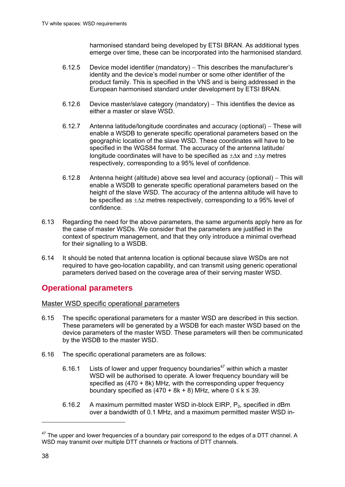harmonised standard being developed by ETSI BRAN. As additional types emerge over time, these can be incorporated into the harmonised standard.

- 6.12.5 Device model identifier (mandatory) This describes the manufacturer's identity and the device's model number or some other identifier of the product family. This is specified in the VNS and is being addressed in the European harmonised standard under development by ETSI BRAN.
- 6.12.6 Device master/slave category (mandatory)  $-$  This identifies the device as either a master or slave WSD.
- 6.12.7 Antenna latitude/longitude coordinates and accuracy (optional) These will enable a WSDB to generate specific operational parameters based on the geographic location of the slave WSD. These coordinates will have to be specified in the WGS84 format. The accuracy of the antenna latitude/ longitude coordinates will have to be specified as  $+\Delta x$  and  $+\Delta y$  metres respectively, corresponding to a 95% level of confidence.
- 6.12.8 Antenna height (altitude) above sea level and accuracy (optional) This will enable a WSDB to generate specific operational parameters based on the height of the slave WSD. The accuracy of the antenna altitude will have to be specified as  $\pm \Delta z$  metres respectively, corresponding to a 95% level of confidence.
- 6.13 Regarding the need for the above parameters, the same arguments apply here as for the case of master WSDs. We consider that the parameters are justified in the context of spectrum management, and that they only introduce a minimal overhead for their signalling to a WSDB.
- 6.14 It should be noted that antenna location is optional because slave WSDs are not required to have geo-location capability, and can transmit using generic operational parameters derived based on the coverage area of their serving master WSD.

## **Operational parameters**

Master WSD specific operational parameters

- 6.15 The specific operational parameters for a master WSD are described in this section. These parameters will be generated by a WSDB for each master WSD based on the device parameters of the master WSD. These parameters will then be communicated by the WSDB to the master WSD.
- 6.16 The specific operational parameters are as follows:
	- 6.16.1 Lists of lower and upper frequency boundaries<sup>47</sup> within which a master WSD will be authorised to operate. A lower frequency boundary will be specified as (470 + 8k) MHz, with the corresponding upper frequency boundary specified as  $(470 + 8k + 8)$  MHz, where  $0 \le k \le 39$ .
	- 6.16.2 A maximum permitted master WSD in-block EIRP,  $P_0$ , specified in dBm over a bandwidth of 0.1 MHz, and a maximum permitted master WSD in-

1

 $47$  The upper and lower frequencies of a boundary pair correspond to the edges of a DTT channel. A WSD may transmit over multiple DTT channels or fractions of DTT channels.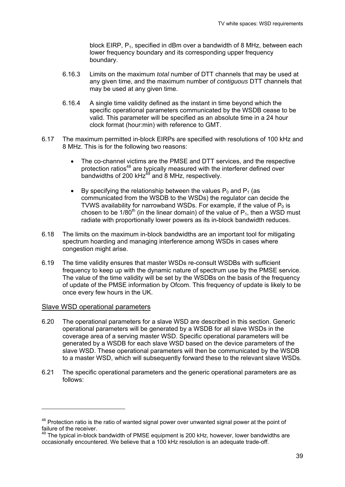block EIRP,  $P_1$ , specified in dBm over a bandwidth of 8 MHz, between each lower frequency boundary and its corresponding upper frequency boundary.

- 6.16.3 Limits on the maximum *total* number of DTT channels that may be used at any given time, and the maximum number of *contiguous* DTT channels that may be used at any given time.
- 6.16.4 A single time validity defined as the instant in time beyond which the specific operational parameters communicated by the WSDB cease to be valid. This parameter will be specified as an absolute time in a 24 hour clock format (hour:min) with reference to GMT.
- 6.17 The maximum permitted in-block EIRPs are specified with resolutions of 100 kHz and 8 MHz. This is for the following two reasons:
	- The co-channel victims are the PMSE and DTT services, and the respective protection ratios<sup>48</sup> are typically measured with the interferer defined over bandwidths of 200 kH $z^{49}$  and 8 MHz, respectively.
	- By specifying the relationship between the values  $P_0$  and  $P_1$  (as communicated from the WSDB to the WSDs) the regulator can decide the TVWS availability for narrowband WSDs. For example, if the value of  $P_0$  is chosen to be 1/80<sup>th</sup> (in the linear domain) of the value of  $P_1$ , then a WSD must radiate with proportionally lower powers as its in-block bandwidth reduces.
- 6.18 The limits on the maximum in-block bandwidths are an important tool for mitigating spectrum hoarding and managing interference among WSDs in cases where congestion might arise.
- 6.19 The time validity ensures that master WSDs re-consult WSDBs with sufficient frequency to keep up with the dynamic nature of spectrum use by the PMSE service. The value of the time validity will be set by the WSDBs on the basis of the frequency of update of the PMSE information by Ofcom. This frequency of update is likely to be once every few hours in the UK.

#### Slave WSD operational parameters

-

- 6.20 The operational parameters for a slave WSD are described in this section. Generic operational parameters will be generated by a WSDB for all slave WSDs in the coverage area of a serving master WSD. Specific operational parameters will be generated by a WSDB for each slave WSD based on the device parameters of the slave WSD. These operational parameters will then be communicated by the WSDB to a master WSD, which will subsequently forward these to the relevant slave WSDs.
- 6.21 The specific operational parameters and the generic operational parameters are as follows:

<sup>&</sup>lt;sup>48</sup> Protection ratio is the ratio of wanted signal power over unwanted signal power at the point of failure of the receiver.

 $49$  The typical in-block bandwidth of PMSE equipment is 200 kHz, however, lower bandwidths are occasionally encountered. We believe that a 100 kHz resolution is an adequate trade-off.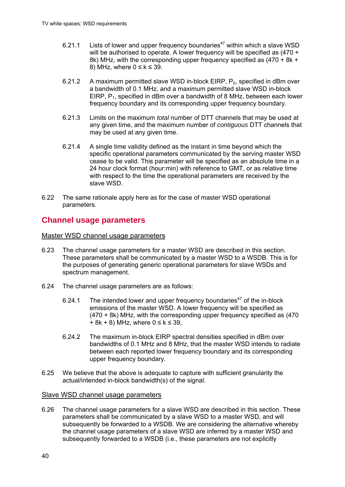- 6.21.1 Lists of lower and upper frequency boundaries<sup>47</sup> within which a slave WSD will be authorised to operate. A lower frequency will be specified as (470 + 8k) MHz, with the corresponding upper frequency specified as (470 + 8k + 8) MHz, where  $0 \leq k \leq 39$ .
- 6.21.2 A maximum permitted slave WSD in-block EIRP,  $P_0$ , specified in dBm over a bandwidth of 0.1 MHz, and a maximum permitted slave WSD in-block EIRP, P<sub>1</sub>, specified in dBm over a bandwidth of 8 MHz, between each lower frequency boundary and its corresponding upper frequency boundary.
- 6.21.3 Limits on the maximum *total* number of DTT channels that may be used at any given time, and the maximum number of *contiguous* DTT channels that may be used at any given time.
- 6.21.4 A single time validity defined as the instant in time beyond which the specific operational parameters communicated by the serving master WSD cease to be valid. This parameter will be specified as an absolute time in a 24 hour clock format (hour:min) with reference to GMT, or as relative time with respect to the time the operational parameters are received by the slave WSD.
- 6.22 The same rationale apply here as for the case of master WSD operational parameters.

## **Channel usage parameters**

Master WSD channel usage parameters

- 6.23 The channel usage parameters for a master WSD are described in this section. These parameters shall be communicated by a master WSD to a WSDB. This is for the purposes of generating generic operational parameters for slave WSDs and spectrum management.
- 6.24 The channel usage parameters are as follows:
	- 6.24.1 The intended lower and upper frequency boundaries<sup>47</sup> of the in-block emissions of the master WSD. A lower frequency will be specified as (470 + 8k) MHz, with the corresponding upper frequency specified as (470 + 8k + 8) MHz, where  $0 ≤ k ≤ 39$ ,
	- 6.24.2 The maximum in-block EIRP spectral densities specified in dBm over bandwidths of 0.1 MHz and 8 MHz, that the master WSD intends to radiate between each reported lower frequency boundary and its corresponding upper frequency boundary.
- 6.25 We believe that the above is adequate to capture with sufficient granularity the actual/intended in-block bandwidth(s) of the signal.

#### Slave WSD channel usage parameters

6.26 The channel usage parameters for a slave WSD are described in this section. These parameters shall be communicated by a slave WSD to a master WSD, and will subsequently be forwarded to a WSDB. We are considering the alternative whereby the channel usage parameters of a slave WSD are inferred by a master WSD and subsequently forwarded to a WSDB (i.e., these parameters are not explicitly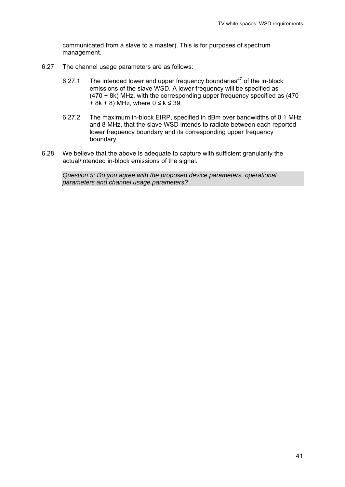communicated from a slave to a master). This is for purposes of spectrum management.

- 6.27 The channel usage parameters are as follows:
	- 6.27.1 The intended lower and upper frequency boundaries<sup>47</sup> of the in-block emissions of the slave WSD. A lower frequency will be specified as (470 + 8k) MHz, with the corresponding upper frequency specified as (470  $+ 8k + 8$ ) MHz, where  $0 \le k \le 39$ .
	- 6.27.2 The maximum in-block EIRP, specified in dBm over bandwidths of 0.1 MHz and 8 MHz, that the slave WSD intends to radiate between each reported lower frequency boundary and its corresponding upper frequency boundary.
- 6.28 We believe that the above is adequate to capture with sufficient granularity the actual/intended in-block emissions of the signal.

*Question 5: Do you agree with the proposed device parameters, operational parameters and channel usage parameters?*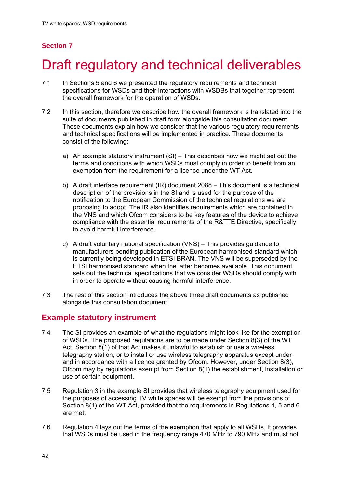## **Section 7**

# Draft regulatory and technical deliverables

- 7.1 In Sections 5 and 6 we presented the regulatory requirements and technical specifications for WSDs and their interactions with WSDBs that together represent the overall framework for the operation of WSDs.
- 7.2 In this section, therefore we describe how the overall framework is translated into the suite of documents published in draft form alongside this consultation document. These documents explain how we consider that the various regulatory requirements and technical specifications will be implemented in practice. These documents consist of the following:
	- a) An example statutory instrument  $(SI)$  This describes how we might set out the terms and conditions with which WSDs must comply in order to benefit from an exemption from the requirement for a licence under the WT Act.
	- b) A draft interface requirement  $(IR)$  document 2088 This document is a technical description of the provisions in the SI and is used for the purpose of the notification to the European Commission of the technical regulations we are proposing to adopt. The IR also identifies requirements which are contained in the VNS and which Ofcom considers to be key features of the device to achieve compliance with the essential requirements of the R&TTE Directive, specifically to avoid harmful interference.
	- c) A draft voluntary national specification  $(VNS)$  This provides quidance to manufacturers pending publication of the European harmonised standard which is currently being developed in ETSI BRAN. The VNS will be superseded by the ETSI harmonised standard when the latter becomes available. This document sets out the technical specifications that we consider WSDs should comply with in order to operate without causing harmful interference.
- 7.3 The rest of this section introduces the above three draft documents as published alongside this consultation document.

## **Example statutory instrument**

- 7.4 The SI provides an example of what the regulations might look like for the exemption of WSDs. The proposed regulations are to be made under Section 8(3) of the WT Act. Section 8(1) of that Act makes it unlawful to establish or use a wireless telegraphy station, or to install or use wireless telegraphy apparatus except under and in accordance with a licence granted by Ofcom. However, under Section 8(3), Ofcom may by regulations exempt from Section 8(1) the establishment, installation or use of certain equipment.
- 7.5 Regulation 3 in the example SI provides that wireless telegraphy equipment used for the purposes of accessing TV white spaces will be exempt from the provisions of Section 8(1) of the WT Act, provided that the requirements in Regulations 4, 5 and 6 are met.
- 7.6 Regulation 4 lays out the terms of the exemption that apply to all WSDs. It provides that WSDs must be used in the frequency range 470 MHz to 790 MHz and must not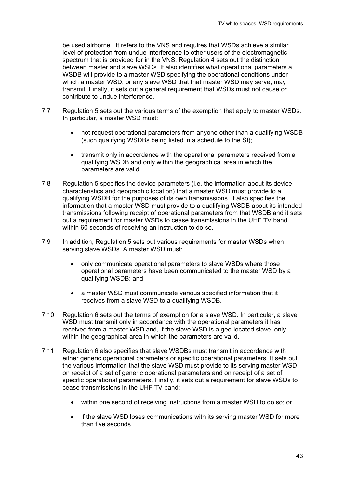be used airborne.. It refers to the VNS and requires that WSDs achieve a similar level of protection from undue interference to other users of the electromagnetic spectrum that is provided for in the VNS. Regulation 4 sets out the distinction between master and slave WSDs. It also identifies what operational parameters a WSDB will provide to a master WSD specifying the operational conditions under which a master WSD, or any slave WSD that that master WSD may serve, may transmit. Finally, it sets out a general requirement that WSDs must not cause or contribute to undue interference.

- 7.7 Regulation 5 sets out the various terms of the exemption that apply to master WSDs. In particular, a master WSD must:
	- not request operational parameters from anyone other than a qualifying WSDB (such qualifying WSDBs being listed in a schedule to the SI);
	- transmit only in accordance with the operational parameters received from a qualifying WSDB and only within the geographical area in which the parameters are valid.
- 7.8 Regulation 5 specifies the device parameters (i.e. the information about its device characteristics and geographic location) that a master WSD must provide to a qualifying WSDB for the purposes of its own transmissions. It also specifies the information that a master WSD must provide to a qualifying WSDB about its intended transmissions following receipt of operational parameters from that WSDB and it sets out a requirement for master WSDs to cease transmissions in the UHF TV band within 60 seconds of receiving an instruction to do so.
- 7.9 In addition, Regulation 5 sets out various requirements for master WSDs when serving slave WSDs. A master WSD must:
	- only communicate operational parameters to slave WSDs where those operational parameters have been communicated to the master WSD by a qualifying WSDB; and
	- a master WSD must communicate various specified information that it receives from a slave WSD to a qualifying WSDB.
- 7.10 Regulation 6 sets out the terms of exemption for a slave WSD. In particular, a slave WSD must transmit only in accordance with the operational parameters it has received from a master WSD and, if the slave WSD is a geo-located slave, only within the geographical area in which the parameters are valid.
- 7.11 Regulation 6 also specifies that slave WSDBs must transmit in accordance with either generic operational parameters or specific operational parameters. It sets out the various information that the slave WSD must provide to its serving master WSD on receipt of a set of generic operational parameters and on receipt of a set of specific operational parameters. Finally, it sets out a requirement for slave WSDs to cease transmissions in the UHF TV band:
	- within one second of receiving instructions from a master WSD to do so; or
	- if the slave WSD loses communications with its serving master WSD for more than five seconds.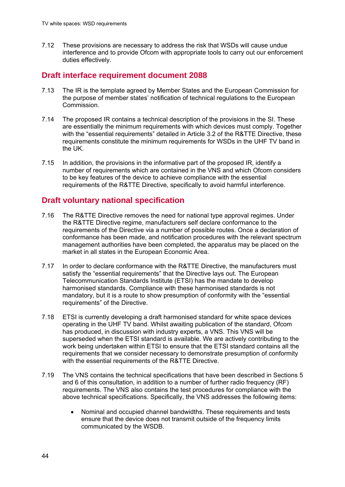7.12 These provisions are necessary to address the risk that WSDs will cause undue interference and to provide Ofcom with appropriate tools to carry out our enforcement duties effectively.

## **Draft interface requirement document 2088**

- 7.13 The IR is the template agreed by Member States and the European Commission for the purpose of member states' notification of technical regulations to the European Commission.
- 7.14 The proposed IR contains a technical description of the provisions in the SI. These are essentially the minimum requirements with which devices must comply. Together with the "essential requirements" detailed in Article 3.2 of the R&TTE Directive, these requirements constitute the minimum requirements for WSDs in the UHF TV band in the UK.
- 7.15 In addition, the provisions in the informative part of the proposed IR, identify a number of requirements which are contained in the VNS and which Ofcom considers to be key features of the device to achieve compliance with the essential requirements of the R&TTE Directive, specifically to avoid harmful interference.

## **Draft voluntary national specification**

- 7.16 The R&TTE Directive removes the need for national type approval regimes. Under the R&TTE Directive regime, manufacturers self declare conformance to the requirements of the Directive via a number of possible routes. Once a declaration of conformance has been made, and notification procedures with the relevant spectrum management authorities have been completed, the apparatus may be placed on the market in all states in the European Economic Area.
- 7.17 In order to declare conformance with the R&TTE Directive, the manufacturers must satisfy the "essential requirements" that the Directive lays out. The European Telecommunication Standards Institute (ETSI) has the mandate to develop harmonised standards. Compliance with these harmonised standards is not mandatory, but it is a route to show presumption of conformity with the "essential requirements" of the Directive.
- 7.18 ETSI is currently developing a draft harmonised standard for white space devices operating in the UHF TV band. Whilst awaiting publication of the standard, Ofcom has produced, in discussion with industry experts, a VNS. This VNS will be superseded when the ETSI standard is available. We are actively contributing to the work being undertaken within ETSI to ensure that the ETSI standard contains all the requirements that we consider necessary to demonstrate presumption of conformity with the essential requirements of the R&TTE Directive.
- 7.19 The VNS contains the technical specifications that have been described in Sections 5 and 6 of this consultation, in addition to a number of further radio frequency (RF) requirements. The VNS also contains the test procedures for compliance with the above technical specifications. Specifically, the VNS addresses the following items:
	- Nominal and occupied channel bandwidths. These requirements and tests ensure that the device does not transmit outside of the frequency limits communicated by the WSDB.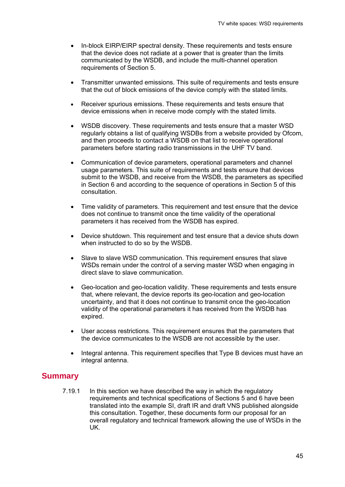- In-block EIRP/EIRP spectral density. These requirements and tests ensure that the device does not radiate at a power that is greater than the limits communicated by the WSDB, and include the multi-channel operation requirements of Section 5.
- Transmitter unwanted emissions. This suite of requirements and tests ensure that the out of block emissions of the device comply with the stated limits.
- Receiver spurious emissions. These requirements and tests ensure that device emissions when in receive mode comply with the stated limits.
- WSDB discovery. These requirements and tests ensure that a master WSD regularly obtains a list of qualifying WSDBs from a website provided by Ofcom, and then proceeds to contact a WSDB on that list to receive operational parameters before starting radio transmissions in the UHF TV band.
- Communication of device parameters, operational parameters and channel usage parameters. This suite of requirements and tests ensure that devices submit to the WSDB, and receive from the WSDB, the parameters as specified in Section 6 and according to the sequence of operations in Section 5 of this consultation.
- Time validity of parameters. This requirement and test ensure that the device does not continue to transmit once the time validity of the operational parameters it has received from the WSDB has expired.
- Device shutdown. This requirement and test ensure that a device shuts down when instructed to do so by the WSDB.
- Slave to slave WSD communication. This requirement ensures that slave WSDs remain under the control of a serving master WSD when engaging in direct slave to slave communication.
- Geo-location and geo-location validity. These requirements and tests ensure that, where relevant, the device reports its geo-location and geo-location uncertainty, and that it does not continue to transmit once the geo-location validity of the operational parameters it has received from the WSDB has expired.
- User access restrictions. This requirement ensures that the parameters that the device communicates to the WSDB are not accessible by the user.
- Integral antenna. This requirement specifies that Type B devices must have an integral antenna.

## **Summary**

7.19.1 In this section we have described the way in which the regulatory requirements and technical specifications of Sections 5 and 6 have been translated into the example SI, draft IR and draft VNS published alongside this consultation. Together, these documents form our proposal for an overall regulatory and technical framework allowing the use of WSDs in the UK.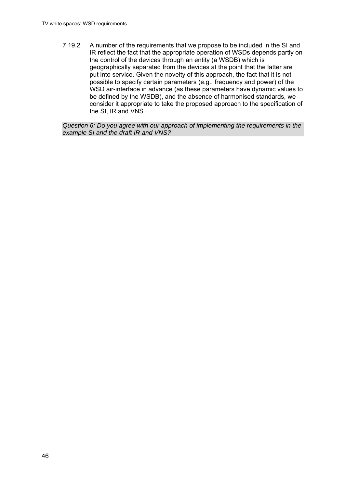7.19.2 A number of the requirements that we propose to be included in the SI and IR reflect the fact that the appropriate operation of WSDs depends partly on the control of the devices through an entity (a WSDB) which is geographically separated from the devices at the point that the latter are put into service. Given the novelty of this approach, the fact that it is not possible to specify certain parameters (e.g., frequency and power) of the WSD air-interface in advance (as these parameters have dynamic values to be defined by the WSDB), and the absence of harmonised standards, we consider it appropriate to take the proposed approach to the specification of the SI, IR and VNS

*Question 6: Do you agree with our approach of implementing the requirements in the example SI and the draft IR and VNS?*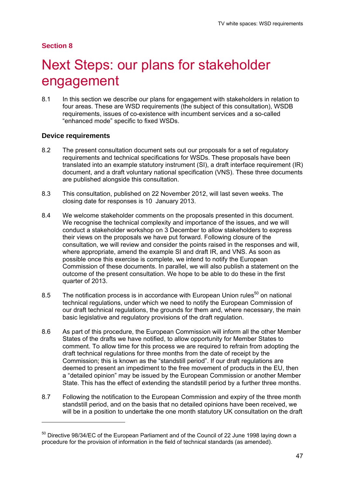#### **Section 8**

1

## Next Steps: our plans for stakeholder engagement

8.1 In this section we describe our plans for engagement with stakeholders in relation to four areas. These are WSD requirements (the subject of this consultation), WSDB requirements, issues of co-existence with incumbent services and a so-called "enhanced mode" specific to fixed WSDs.

#### **Device requirements**

- 8.2 The present consultation document sets out our proposals for a set of regulatory requirements and technical specifications for WSDs. These proposals have been translated into an example statutory instrument (SI), a draft interface requirement (IR) document, and a draft voluntary national specification (VNS). These three documents are published alongside this consultation.
- 8.3 This consultation, published on 22 November 2012, will last seven weeks. The closing date for responses is 10 January 2013.
- 8.4 We welcome stakeholder comments on the proposals presented in this document. We recognise the technical complexity and importance of the issues, and we will conduct a stakeholder workshop on 3 December to allow stakeholders to express their views on the proposals we have put forward. Following closure of the consultation, we will review and consider the points raised in the responses and will, where appropriate, amend the example SI and draft IR, and VNS. As soon as possible once this exercise is complete, we intend to notify the European Commission of these documents. In parallel, we will also publish a statement on the outcome of the present consultation. We hope to be able to do these in the first quarter of 2013.
- 8.5 The notification process is in accordance with European Union rules<sup>50</sup> on national technical regulations, under which we need to notify the European Commission of our draft technical regulations, the grounds for them and, where necessary, the main basic legislative and regulatory provisions of the draft regulation.
- 8.6 As part of this procedure, the European Commission will inform all the other Member States of the drafts we have notified, to allow opportunity for Member States to comment. To allow time for this process we are required to refrain from adopting the draft technical regulations for three months from the date of receipt by the Commission; this is known as the "standstill period". If our draft regulations are deemed to present an impediment to the free movement of products in the EU, then a "detailed opinion" may be issued by the European Commission or another Member State. This has the effect of extending the standstill period by a further three months.
- 8.7 Following the notification to the European Commission and expiry of the three month standstill period, and on the basis that no detailed opinions have been received, we will be in a position to undertake the one month statutory UK consultation on the draft

 $50$  Directive 98/34/EC of the European Parliament and of the Council of 22 June 1998 laying down a procedure for the provision of information in the field of technical standards (as amended).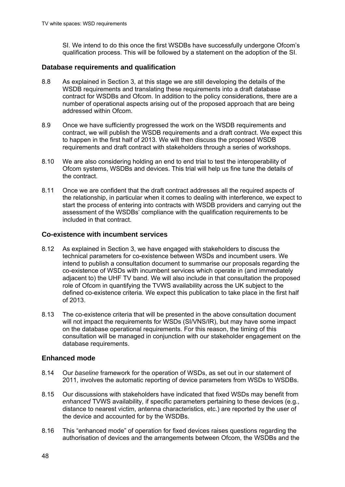SI. We intend to do this once the first WSDBs have successfully undergone Ofcom's qualification process. This will be followed by a statement on the adoption of the SI.

#### **Database requirements and qualification**

- 8.8 As explained in Section 3, at this stage we are still developing the details of the WSDB requirements and translating these requirements into a draft database contract for WSDBs and Ofcom. In addition to the policy considerations, there are a number of operational aspects arising out of the proposed approach that are being addressed within Ofcom.
- 8.9 Once we have sufficiently progressed the work on the WSDB requirements and contract, we will publish the WSDB requirements and a draft contract. We expect this to happen in the first half of 2013. We will then discuss the proposed WSDB requirements and draft contract with stakeholders through a series of workshops.
- 8.10 We are also considering holding an end to end trial to test the interoperability of Ofcom systems, WSDBs and devices. This trial will help us fine tune the details of the contract.
- 8.11 Once we are confident that the draft contract addresses all the required aspects of the relationship, in particular when it comes to dealing with interference, we expect to start the process of entering into contracts with WSDB providers and carrying out the assessment of the WSDBs' compliance with the qualification requirements to be included in that contract.

#### **Co-existence with incumbent services**

- 8.12 As explained in Section 3, we have engaged with stakeholders to discuss the technical parameters for co-existence between WSDs and incumbent users. We intend to publish a consultation document to summarise our proposals regarding the co-existence of WSDs with incumbent services which operate in (and immediately adjacent to) the UHF TV band. We will also include in that consultation the proposed role of Ofcom in quantifying the TVWS availability across the UK subject to the defined co-existence criteria. We expect this publication to take place in the first half of 2013.
- 8.13 The co-existence criteria that will be presented in the above consultation document will not impact the requirements for WSDs (SI/VNS/IR), but may have some impact on the database operational requirements. For this reason, the timing of this consultation will be managed in conjunction with our stakeholder engagement on the database requirements.

#### **Enhanced mode**

- 8.14 Our *baseline* framework for the operation of WSDs, as set out in our statement of 2011, involves the automatic reporting of device parameters from WSDs to WSDBs.
- 8.15 Our discussions with stakeholders have indicated that fixed WSDs may benefit from *enhanced* TVWS availability, if specific parameters pertaining to these devices (e.g., distance to nearest victim, antenna characteristics, etc.) are reported by the user of the device and accounted for by the WSDBs.
- 8.16 This "enhanced mode" of operation for fixed devices raises questions regarding the authorisation of devices and the arrangements between Ofcom, the WSDBs and the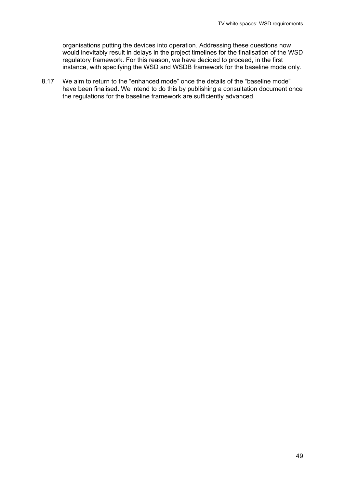organisations putting the devices into operation. Addressing these questions now would inevitably result in delays in the project timelines for the finalisation of the WSD regulatory framework. For this reason, we have decided to proceed, in the first instance, with specifying the WSD and WSDB framework for the baseline mode only.

8.17 We aim to return to the "enhanced mode" once the details of the "baseline mode" have been finalised. We intend to do this by publishing a consultation document once the regulations for the baseline framework are sufficiently advanced.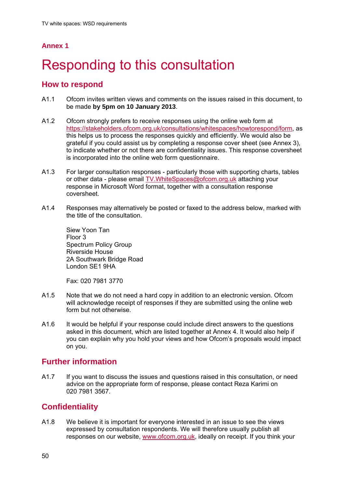## **Annex 1**

# Responding to this consultation

## **How to respond**

- A1.1 Ofcom invites written views and comments on the issues raised in this document, to be made **by 5pm on 10 January 2013**.
- A1.2 Ofcom strongly prefers to receive responses using the online web form at https://stakeholders.ofcom.org.uk/consultations/whitespaces/howtorespond/form, as this helps us to process the responses quickly and efficiently. We would also be grateful if you could assist us by completing a response cover sheet (see Annex 3), to indicate whether or not there are confidentiality issues. This response coversheet is incorporated into the online web form questionnaire.
- A1.3 For larger consultation responses particularly those with supporting charts, tables or other data - please email TV.WhiteSpaces@ofcom.org.uk attaching your response in Microsoft Word format, together with a consultation response coversheet.
- A1.4 Responses may alternatively be posted or faxed to the address below, marked with the title of the consultation.

Siew Yoon Tan Floor 3 Spectrum Policy Group Riverside House 2A Southwark Bridge Road London SE1 9HA

Fax: 020 7981 3770

- A1.5 Note that we do not need a hard copy in addition to an electronic version. Ofcom will acknowledge receipt of responses if they are submitted using the online web form but not otherwise.
- A1.6 It would be helpful if your response could include direct answers to the questions asked in this document, which are listed together at Annex 4. It would also help if you can explain why you hold your views and how Ofcom's proposals would impact on you.

## **Further information**

A1.7 If you want to discuss the issues and questions raised in this consultation, or need advice on the appropriate form of response, please contact Reza Karimi on 020 7981 3567.

## **Confidentiality**

A1.8 We believe it is important for everyone interested in an issue to see the views expressed by consultation respondents. We will therefore usually publish all responses on our website, www.ofcom.org.uk, ideally on receipt. If you think your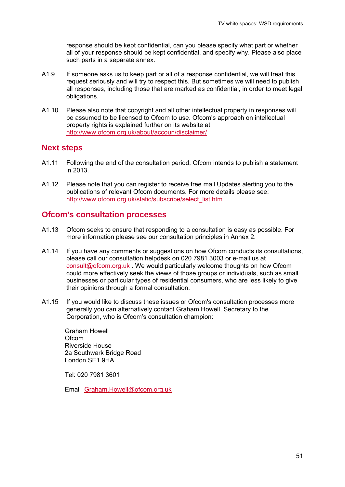response should be kept confidential, can you please specify what part or whether all of your response should be kept confidential, and specify why. Please also place such parts in a separate annex.

- A1.9 If someone asks us to keep part or all of a response confidential, we will treat this request seriously and will try to respect this. But sometimes we will need to publish all responses, including those that are marked as confidential, in order to meet legal obligations.
- A1.10 Please also note that copyright and all other intellectual property in responses will be assumed to be licensed to Ofcom to use. Ofcom's approach on intellectual property rights is explained further on its website at http://www.ofcom.org.uk/about/accoun/disclaimer/

### **Next steps**

- A1.11 Following the end of the consultation period, Ofcom intends to publish a statement in 2013.
- A1.12 Please note that you can register to receive free mail Updates alerting you to the publications of relevant Ofcom documents. For more details please see: http://www.ofcom.org.uk/static/subscribe/select\_list.htm

### **Ofcom's consultation processes**

- A1.13 Ofcom seeks to ensure that responding to a consultation is easy as possible. For more information please see our consultation principles in Annex 2.
- A1.14 If you have any comments or suggestions on how Ofcom conducts its consultations, please call our consultation helpdesk on 020 7981 3003 or e-mail us at consult@ofcom.org.uk . We would particularly welcome thoughts on how Ofcom could more effectively seek the views of those groups or individuals, such as small businesses or particular types of residential consumers, who are less likely to give their opinions through a formal consultation.
- A1.15 If you would like to discuss these issues or Ofcom's consultation processes more generally you can alternatively contact Graham Howell, Secretary to the Corporation, who is Ofcom's consultation champion:

Graham Howell **Ofcom** Riverside House 2a Southwark Bridge Road London SE1 9HA

Tel: 020 7981 3601

Email Graham.Howell@ofcom.org.uk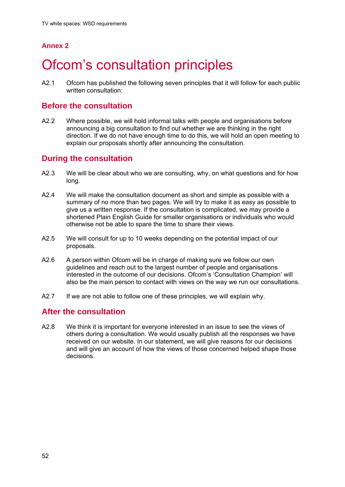## **Annex 2**

## Ofcom's consultation principles

A2.1 Ofcom has published the following seven principles that it will follow for each public written consultation:

## **Before the consultation**

A2.2 Where possible, we will hold informal talks with people and organisations before announcing a big consultation to find out whether we are thinking in the right direction. If we do not have enough time to do this, we will hold an open meeting to explain our proposals shortly after announcing the consultation.

## **During the consultation**

- A2.3 We will be clear about who we are consulting, why, on what questions and for how long.
- A2.4 We will make the consultation document as short and simple as possible with a summary of no more than two pages. We will try to make it as easy as possible to give us a written response. If the consultation is complicated, we may provide a shortened Plain English Guide for smaller organisations or individuals who would otherwise not be able to spare the time to share their views.
- A2.5 We will consult for up to 10 weeks depending on the potential impact of our proposals.
- A2.6 A person within Ofcom will be in charge of making sure we follow our own guidelines and reach out to the largest number of people and organisations interested in the outcome of our decisions. Ofcom's 'Consultation Champion' will also be the main person to contact with views on the way we run our consultations.
- A2.7 If we are not able to follow one of these principles, we will explain why.

## **After the consultation**

A2.8 We think it is important for everyone interested in an issue to see the views of others during a consultation. We would usually publish all the responses we have received on our website. In our statement, we will give reasons for our decisions and will give an account of how the views of those concerned helped shape those decisions.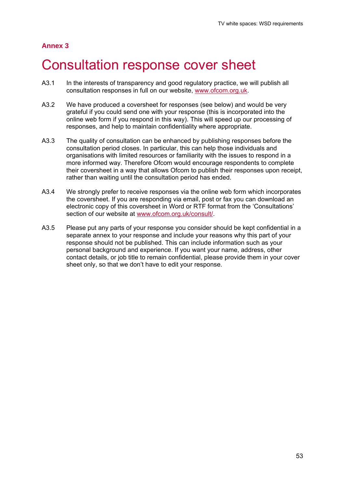### **Annex 3**

## 3 Consultation response cover sheet

- A3.1 In the interests of transparency and good regulatory practice, we will publish all consultation responses in full on our website, www.ofcom.org.uk.
- A3.2 We have produced a coversheet for responses (see below) and would be very grateful if you could send one with your response (this is incorporated into the online web form if you respond in this way). This will speed up our processing of responses, and help to maintain confidentiality where appropriate.
- A3.3 The quality of consultation can be enhanced by publishing responses before the consultation period closes. In particular, this can help those individuals and organisations with limited resources or familiarity with the issues to respond in a more informed way. Therefore Ofcom would encourage respondents to complete their coversheet in a way that allows Ofcom to publish their responses upon receipt, rather than waiting until the consultation period has ended.
- A3.4 We strongly prefer to receive responses via the online web form which incorporates the coversheet. If you are responding via email, post or fax you can download an electronic copy of this coversheet in Word or RTF format from the 'Consultations' section of our website at www.ofcom.org.uk/consult/.
- A3.5 Please put any parts of your response you consider should be kept confidential in a separate annex to your response and include your reasons why this part of your response should not be published. This can include information such as your personal background and experience. If you want your name, address, other contact details, or job title to remain confidential, please provide them in your cover sheet only, so that we don't have to edit your response.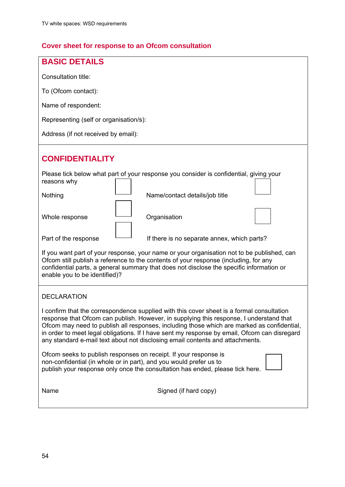## **Cover sheet for response to an Ofcom consultation**

| <b>BASIC DETAILS</b>                                                                                                                                                                                                                                                                                                                                                                                                                                                |  |  |  |  |  |
|---------------------------------------------------------------------------------------------------------------------------------------------------------------------------------------------------------------------------------------------------------------------------------------------------------------------------------------------------------------------------------------------------------------------------------------------------------------------|--|--|--|--|--|
| Consultation title:                                                                                                                                                                                                                                                                                                                                                                                                                                                 |  |  |  |  |  |
| To (Ofcom contact):                                                                                                                                                                                                                                                                                                                                                                                                                                                 |  |  |  |  |  |
| Name of respondent:                                                                                                                                                                                                                                                                                                                                                                                                                                                 |  |  |  |  |  |
| Representing (self or organisation/s):                                                                                                                                                                                                                                                                                                                                                                                                                              |  |  |  |  |  |
| Address (if not received by email):                                                                                                                                                                                                                                                                                                                                                                                                                                 |  |  |  |  |  |
| <b>CONFIDENTIALITY</b>                                                                                                                                                                                                                                                                                                                                                                                                                                              |  |  |  |  |  |
| Please tick below what part of your response you consider is confidential, giving your<br>reasons why                                                                                                                                                                                                                                                                                                                                                               |  |  |  |  |  |
| Nothing<br>Name/contact details/job title                                                                                                                                                                                                                                                                                                                                                                                                                           |  |  |  |  |  |
| Organisation<br>Whole response                                                                                                                                                                                                                                                                                                                                                                                                                                      |  |  |  |  |  |
| Part of the response<br>If there is no separate annex, which parts?                                                                                                                                                                                                                                                                                                                                                                                                 |  |  |  |  |  |
| If you want part of your response, your name or your organisation not to be published, can<br>Ofcom still publish a reference to the contents of your response (including, for any<br>confidential parts, a general summary that does not disclose the specific information or<br>enable you to be identified)?                                                                                                                                                     |  |  |  |  |  |
| <b>DECLARATION</b>                                                                                                                                                                                                                                                                                                                                                                                                                                                  |  |  |  |  |  |
| I confirm that the correspondence supplied with this cover sheet is a formal consultation<br>response that Ofcom can publish. However, in supplying this response, I understand that<br>Ofcom may need to publish all responses, including those which are marked as confidential,<br>in order to meet legal obligations. If I have sent my response by email, Ofcom can disregard<br>any standard e-mail text about not disclosing email contents and attachments. |  |  |  |  |  |
| Ofcom seeks to publish responses on receipt. If your response is<br>non-confidential (in whole or in part), and you would prefer us to<br>publish your response only once the consultation has ended, please tick here.                                                                                                                                                                                                                                             |  |  |  |  |  |
| Signed (if hard copy)<br>Name                                                                                                                                                                                                                                                                                                                                                                                                                                       |  |  |  |  |  |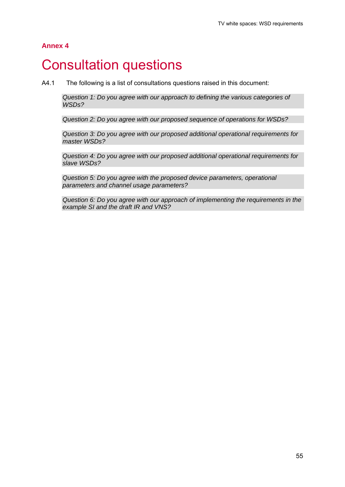#### **Annex 4**

## **Consultation questions**

A4.1 The following is a list of consultations questions raised in this document:

*Question 1: Do you agree with our approach to defining the various categories of WSDs?* 

*Question 2: Do you agree with our proposed sequence of operations for WSDs?* 

*Question 3: Do you agree with our proposed additional operational requirements for master WSDs?* 

*Question 4: Do you agree with our proposed additional operational requirements for slave WSDs?* 

*Question 5: Do you agree with the proposed device parameters, operational parameters and channel usage parameters?* 

*Question 6: Do you agree with our approach of implementing the requirements in the example SI and the draft IR and VNS?*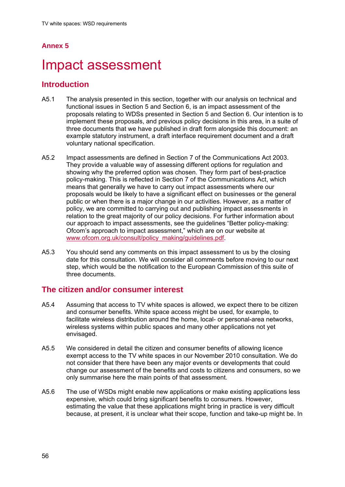## **Annex 5**

## Impact assessment

## **Introduction**

- A5.1 The analysis presented in this section, together with our analysis on technical and functional issues in Section 5 and Section 6, is an impact assessment of the proposals relating to WDSs presented in Section 5 and Section 6. Our intention is to implement these proposals, and previous policy decisions in this area, in a suite of three documents that we have published in draft form alongside this document: an example statutory instrument, a draft interface requirement document and a draft voluntary national specification.
- A5.2 Impact assessments are defined in Section 7 of the Communications Act 2003. They provide a valuable way of assessing different options for regulation and showing why the preferred option was chosen. They form part of best-practice policy-making. This is reflected in Section 7 of the Communications Act, which means that generally we have to carry out impact assessments where our proposals would be likely to have a significant effect on businesses or the general public or when there is a major change in our activities. However, as a matter of policy, we are committed to carrying out and publishing impact assessments in relation to the great majority of our policy decisions. For further information about our approach to impact assessments, see the guidelines "Better policy-making: Ofcom's approach to impact assessment," which are on our website at www.ofcom.org.uk/consult/policy\_making/guidelines.pdf.
- A5.3 You should send any comments on this impact assessment to us by the closing date for this consultation. We will consider all comments before moving to our next step, which would be the notification to the European Commission of this suite of three documents.

## **The citizen and/or consumer interest**

- A5.4 Assuming that access to TV white spaces is allowed, we expect there to be citizen and consumer benefits. White space access might be used, for example, to facilitate wireless distribution around the home, local- or personal-area networks, wireless systems within public spaces and many other applications not yet envisaged.
- A5.5 We considered in detail the citizen and consumer benefits of allowing licence exempt access to the TV white spaces in our November 2010 consultation. We do not consider that there have been any major events or developments that could change our assessment of the benefits and costs to citizens and consumers, so we only summarise here the main points of that assessment.
- A5.6 The use of WSDs might enable new applications or make existing applications less expensive, which could bring significant benefits to consumers. However, estimating the value that these applications might bring in practice is very difficult because, at present, it is unclear what their scope, function and take-up might be. In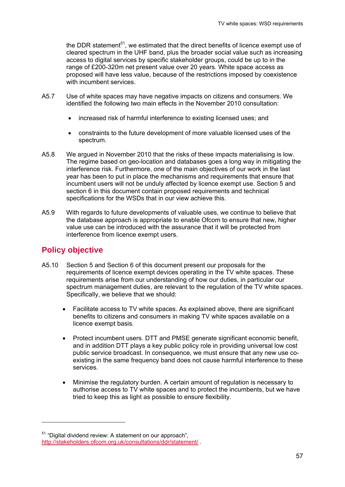the DDR statement<sup>51</sup>, we estimated that the direct benefits of licence exempt use of cleared spectrum in the UHF band, plus the broader social value such as increasing access to digital services by specific stakeholder groups, could be up to in the range of £200-320m net present value over 20 years. White space access as proposed will have less value, because of the restrictions imposed by coexistence with incumbent services.

- A5.7 Use of white spaces may have negative impacts on citizens and consumers. We identified the following two main effects in the November 2010 consultation:
	- increased risk of harmful interference to existing licensed uses; and
	- constraints to the future development of more valuable licensed uses of the spectrum.
- A5.8 We argued in November 2010 that the risks of these impacts materialising is low. The regime based on geo-location and databases goes a long way in mitigating the interference risk. Furthermore, one of the main objectives of our work in the last year has been to put in place the mechanisms and requirements that ensure that incumbent users will not be unduly affected by licence exempt use. Section 5 and section 6 in this document contain proposed requirements and technical specifications for the WSDs that in our view achieve this.
- A5.9 With regards to future developments of valuable uses, we continue to believe that the database approach is appropriate to enable Ofcom to ensure that new, higher value use can be introduced with the assurance that it will be protected from interference from licence exempt users.

## **Policy objective**

1

- A5.10 Section 5 and Section 6 of this document present our proposals for the requirements of licence exempt devices operating in the TV white spaces. These requirements arise from our understanding of how our duties, in particular our spectrum management duties, are relevant to the regulation of the TV white spaces. Specifically, we believe that we should:
	- Facilitate access to TV white spaces. As explained above, there are significant benefits to citizens and consumers in making TV white spaces available on a licence exempt basis.
	- Protect incumbent users. DTT and PMSE generate significant economic benefit, and in addition DTT plays a key public policy role in providing universal low cost public service broadcast. In consequence, we must ensure that any new use coexisting in the same frequency band does not cause harmful interference to these services.
	- Minimise the regulatory burden. A certain amount of regulation is necessary to authorise access to TV white spaces and to protect the incumbents, but we have tried to keep this as light as possible to ensure flexibility.

<sup>&</sup>lt;sup>51</sup> "Digital dividend review: A statement on our approach". http://stakeholders.ofcom.org.uk/consultations/ddr/statement/ .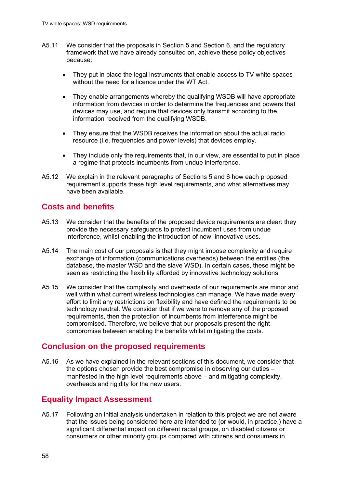- A5.11 We consider that the proposals in Section 5 and Section 6, and the regulatory framework that we have already consulted on, achieve these policy objectives because:
	- They put in place the legal instruments that enable access to TV white spaces without the need for a licence under the WT Act.
	- They enable arrangements whereby the qualifying WSDB will have appropriate information from devices in order to determine the frequencies and powers that devices may use, and require that devices only transmit according to the information received from the qualifying WSDB.
	- They ensure that the WSDB receives the information about the actual radio resource (i.e. frequencies and power levels) that devices employ.
	- They include only the requirements that, in our view, are essential to put in place a regime that protects incumbents from undue interference.
- A5.12 We explain in the relevant paragraphs of Sections 5 and 6 how each proposed requirement supports these high level requirements, and what alternatives may have been available.

## **Costs and benefits**

- A5.13 We consider that the benefits of the proposed device requirements are clear: they provide the necessary safeguards to protect incumbent uses from undue interference, whilst enabling the introduction of new, innovative uses.
- A5.14 The main cost of our proposals is that they might impose complexity and require exchange of information (communications overheads) between the entities (the database, the master WSD and the slave WSD). In certain cases, these might be seen as restricting the flexibility afforded by innovative technology solutions.
- A5.15 We consider that the complexity and overheads of our requirements are minor and well within what current wireless technologies can manage. We have made every effort to limit any restrictions on flexibility and have defined the requirements to be technology neutral. We consider that if we were to remove any of the proposed requirements, then the protection of incumbents from interference might be compromised. Therefore, we believe that our proposals present the right compromise between enabling the benefits whilst mitigating the costs.

## **Conclusion on the proposed requirements**

A5.16 As we have explained in the relevant sections of this document, we consider that the options chosen provide the best compromise in observing our duties – manifested in the high level requirements above  $-$  and mitigating complexity, overheads and rigidity for the new users.

## **Equality Impact Assessment**

A5.17 Following an initial analysis undertaken in relation to this project we are not aware that the issues being considered here are intended to (or would, in practice,) have a significant differential impact on different racial groups, on disabled citizens or consumers or other minority groups compared with citizens and consumers in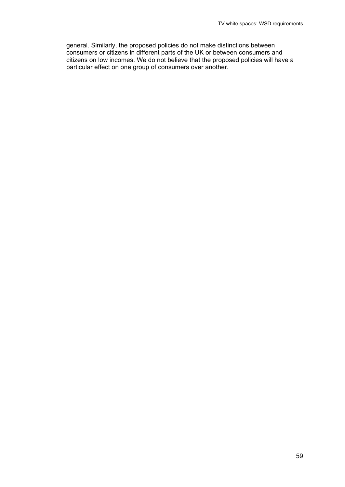general. Similarly, the proposed policies do not make distinctions between consumers or citizens in different parts of the UK or between consumers and citizens on low incomes. We do not believe that the proposed policies will have a particular effect on one group of consumers over another.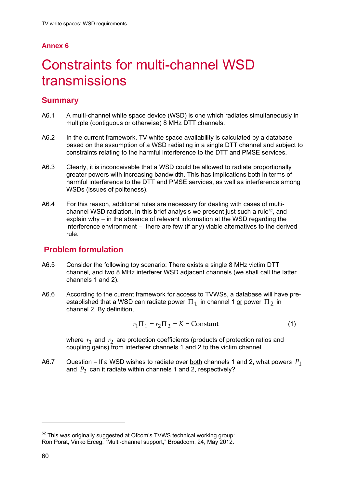## **Annex 6**

# 6 Constraints for multi-channel WSD transmissions

## **Summary**

- A6.1 A multi-channel white space device (WSD) is one which radiates simultaneously in multiple (contiguous or otherwise) 8 MHz DTT channels.
- A6.2 In the current framework, TV white space availability is calculated by a database based on the assumption of a WSD radiating in a single DTT channel and subject to constraints relating to the harmful interference to the DTT and PMSE services.
- A6.3 Clearly, it is inconceivable that a WSD could be allowed to radiate proportionally greater powers with increasing bandwidth. This has implications both in terms of harmful interference to the DTT and PMSE services, as well as interference among WSDs (issues of politeness).
- A6.4 For this reason, additional rules are necessary for dealing with cases of multichannel WSD radiation. In this brief analysis we present just such a rule52, and explain why  $-$  in the absence of relevant information at the WSD regarding the  $interference$  environment  $-$  there are few (if any) viable alternatives to the derived rule.

## **Problem formulation**

- A6.5 Consider the following toy scenario: There exists a single 8 MHz victim DTT channel, and two 8 MHz interferer WSD adjacent channels (we shall call the latter channels 1 and 2).
- A6.6 According to the current framework for access to TVWSs, a database will have preestablished that a WSD can radiate power  $\Pi_1$  in channel 1 or power  $\Pi_2$  in channel 2. By definition,

$$
r_1 \Pi_1 = r_2 \Pi_2 = K = \text{Constant}
$$
 (1)

where  $r_1$  and  $r_2$  are protection coefficients (products of protection ratios and coupling gains) from interferer channels 1 and 2 to the victim channel.

A6.7 Question – If a WSD wishes to radiate over <u>both</u> channels 1 and 2, what powers  $P_1$ and  $P_2$  can it radiate within channels 1 and 2, respectively?

1

 $52$  This was originally suggested at Ofcom's TVWS technical working group: Ron Porat, Vinko Erceg, "Multi-channel support," Broadcom, 24, May 2012.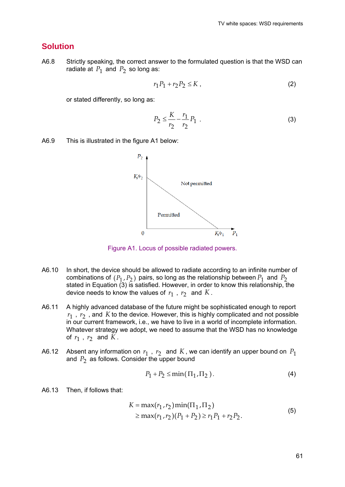### **Solution**

A6.8 Strictly speaking, the correct answer to the formulated question is that the WSD can radiate at  $P_1$  and  $P_2$  so long as:

$$
r_1P_1 + r_2P_2 \le K \tag{2}
$$

or stated differently, so long as:

$$
P_2 \le \frac{K}{r_2} - \frac{r_1}{r_2} P_1 \tag{3}
$$

A6.9 This is illustrated in the figure A1 below:



Figure A1. Locus of possible radiated powers.

- A6.10 In short, the device should be allowed to radiate according to an infinite number of combinations of  $(P_1, P_2)$  pairs, so long as the relationship between  $P_1$  and  $P_2$ stated in Equation  $\overline{3}$ ) is satisfied. However, in order to know this relationship, the device needs to know the values of  $r_1$ ,  $r_2$  and  $K$ .
- A6.11 A highly advanced database of the future might be sophisticated enough to report  $r_1$ ,  $r_2$ , and *K* to the device. However, this is highly complicated and not possible in our current framework, i.e., we have to live in a world of incomplete information. Whatever strategy we adopt, we need to assume that the WSD has no knowledge of  $r_1$ ,  $r_2$  and  $\tilde{K}$ .
- A6.12 Absent any information on  $r_1$ ,  $r_2$  and K, we can identify an upper bound on  $P_1$ and  $P_2$  as follows. Consider the upper bound

$$
P_1 + P_2 \le \min(\Pi_1, \Pi_2). \tag{4}
$$

A6.13 Then, if follows that:

$$
K = \max(r_1, r_2) \min(\Pi_1, \Pi_2)
$$
  
\n
$$
\geq \max(r_1, r_2) (P_1 + P_2) \geq r_1 P_1 + r_2 P_2.
$$
 (5)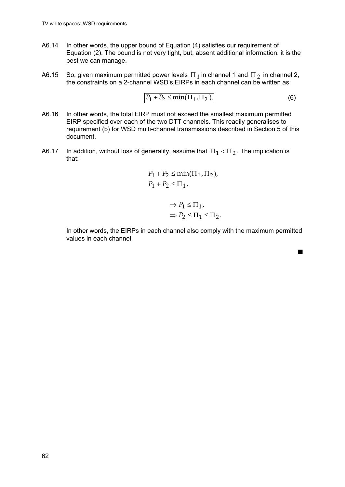- A6.14 In other words, the upper bound of Equation (4) satisfies our requirement of Equation (2). The bound is not very tight, but, absent additional information, it is the best we can manage.
- A6.15 So, given maximum permitted power levels  $\Pi_1$  in channel 1 and  $\Pi_2$  in channel 2, the constraints on a 2-channel WSD's EIRPs in each channel can be written as:

$$
P_1 + P_2 \leq \min(\Pi_1, \Pi_2). \tag{6}
$$

 $\blacksquare$ 

- A6.16 In other words, the total EIRP must not exceed the smallest maximum permitted EIRP specified over each of the two DTT channels. This readily generalises to requirement (b) for WSD multi-channel transmissions described in Section 5 of this document.
- A6.17 In addition, without loss of generality, assume that  $\Pi_1 < \Pi_2$ . The implication is that:

$$
P_1 + P_2 \le \min(\Pi_1, \Pi_2),
$$
  

$$
P_1 + P_2 \le \Pi_1,
$$

$$
\begin{aligned} &\Rightarrow P_1 \leq \Pi_1, \\ &\Rightarrow P_2 \leq \Pi_1 \leq \Pi_2. \end{aligned}
$$

In other words, the EIRPs in each channel also comply with the maximum permitted values in each channel.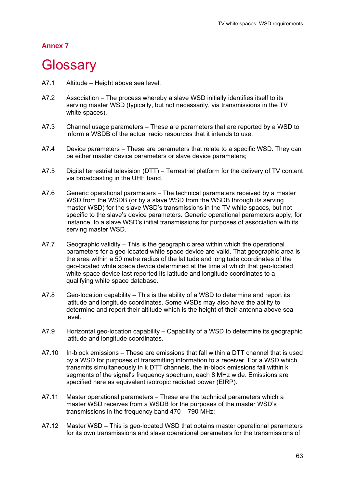#### **Annex 7**

## **Glossary**

- A7.1 Altitude Height above sea level.
- A7.2 Association The process whereby a slave WSD initially identifies itself to its serving master WSD (typically, but not necessarily, via transmissions in the TV white spaces).
- A7.3 Channel usage parameters These are parameters that are reported by a WSD to inform a WSDB of the actual radio resources that it intends to use.
- A7.4 Device parameters These are parameters that relate to a specific WSD. They can be either master device parameters or slave device parameters;
- A7.5 Digital terrestrial television (DTT) Terrestrial platform for the delivery of TV content via broadcasting in the UHF band.
- A7.6 Generic operational parameters The technical parameters received by a master WSD from the WSDB (or by a slave WSD from the WSDB through its serving master WSD) for the slave WSD's transmissions in the TV white spaces, but not specific to the slave's device parameters. Generic operational parameters apply, for instance, to a slave WSD's initial transmissions for purposes of association with its serving master WSD.
- A7.7 Geographic validity  $-$  This is the geographic area within which the operational parameters for a geo-located white space device are valid. That geographic area is the area within a 50 metre radius of the latitude and longitude coordinates of the geo-located white space device determined at the time at which that geo-located white space device last reported its latitude and longitude coordinates to a qualifying white space database.
- A7.8 Geo-location capability This is the ability of a WSD to determine and report its latitude and longitude coordinates. Some WSDs may also have the ability to determine and report their altitude which is the height of their antenna above sea level.
- A7.9 Horizontal geo-location capability Capability of a WSD to determine its geographic latitude and longitude coordinates.
- A7.10 In-block emissions These are emissions that fall within a DTT channel that is used by a WSD for purposes of transmitting information to a receiver. For a WSD which transmits simultaneously in k DTT channels, the in-block emissions fall within k segments of the signal's frequency spectrum, each 8 MHz wide. Emissions are specified here as equivalent isotropic radiated power (EIRP).
- $A7.11$  Master operational parameters  $-$  These are the technical parameters which a master WSD receives from a WSDB for the purposes of the master WSD's transmissions in the frequency band 470 – 790 MHz;
- A7.12 Master WSD This is geo-located WSD that obtains master operational parameters for its own transmissions and slave operational parameters for the transmissions of